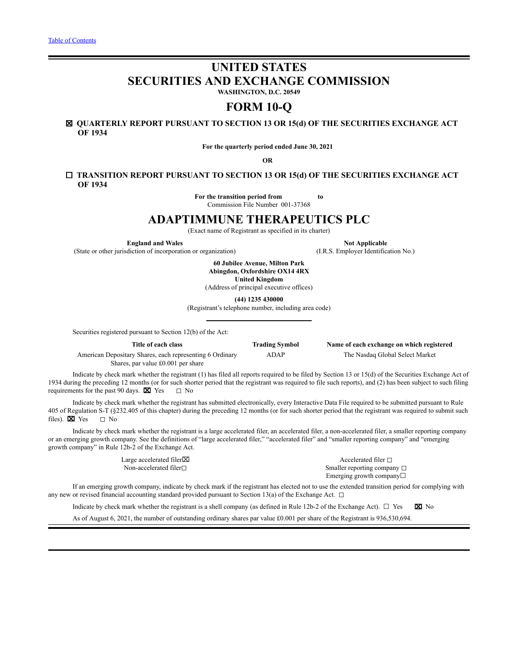# **UNITED STATES SECURITIES AND EXCHANGE COMMISSION**

**WASHINGTON, D.C. 20549**

# **FORM 10-Q**

## ☒ **QUARTERLY REPORT PURSUANT TO SECTION 13 OR 15(d) OF THE SECURITIES EXCHANGE ACT OF 1934**

**For the quarterly period ended June 30, 2021**

**OR**

## ☐ **TRANSITION REPORT PURSUANT TO SECTION 13 OR 15(d) OF THE SECURITIES EXCHANGE ACT OF 1934**

**For the transition period from to** Commission File Number 001-37368

## **ADAPTIMMUNE THERAPEUTICS PLC**

(Exact name of Registrant as specified in its charter)

**England and** Wales **Not Applicable** 

(State or other jurisdiction of incorporation or organization) (I.R.S. Employer Identification No.)

**60 Jubilee Avenue, Milton Park Abingdon, Oxfordshire OX14 4RX United Kingdom**

(Address of principal executive offices)

**(44) 1235 430000**

(Registrant's telephone number, including area code)

Securities registered pursuant to Section 12(b) of the Act:

| Title of each class                                      | <b>Trading Symbol</b> | Name of each exchange on which registered |
|----------------------------------------------------------|-----------------------|-------------------------------------------|
| American Depositary Shares, each representing 6 Ordinary | ADAP                  | The Nasdag Global Select Market           |
| Shares, par value £0.001 per share                       |                       |                                           |

Indicate by check mark whether the registrant (1) has filed all reports required to be filed by Section 13 or 15(d) of the Securities Exchange Act of 1934 during the preceding 12 months (or for such shorter period that the registrant was required to file such reports), and (2) has been subject to such filing requirements for the past 90 days.  $\boxtimes$  Yes  $\Box$  No

Indicate by check mark whether the registrant has submitted electronically, every Interactive Data File required to be submitted pursuant to Rule 405 of Regulation S-T (§232.405 of this chapter) during the preceding 12 months (or for such shorter period that the registrant was required to submit such files).  $\boxtimes$  Yes  $\Box$  No

Indicate by check mark whether the registrant is a large accelerated filer, an accelerated filer, a non-accelerated filer, a smaller reporting company or an emerging growth company. See the definitions of "large accelerated filer," "accelerated filer" and "smaller reporting company" and "emerging growth company" in Rule 12b-2 of the Exchange Act.

Large accelerated filer⊠ Accelerated filer □ Non-accelerated filer□ smaller reporting company □ Emerging growth company☐

If an emerging growth company, indicate by check mark if the registrant has elected not to use the extended transition period for complying with any new or revised financial accounting standard provided pursuant to Section 13(a) of the Exchange Act.  $\Box$ 

Indicate by check mark whether the registrant is a shell company (as defined in Rule 12b-2 of the Exchange Act).  $\Box$  Yes  $\boxtimes$  No

As of August 6, 2021, the number of outstanding ordinary shares par value £0.001 per share of the Registrant is 936,530,694.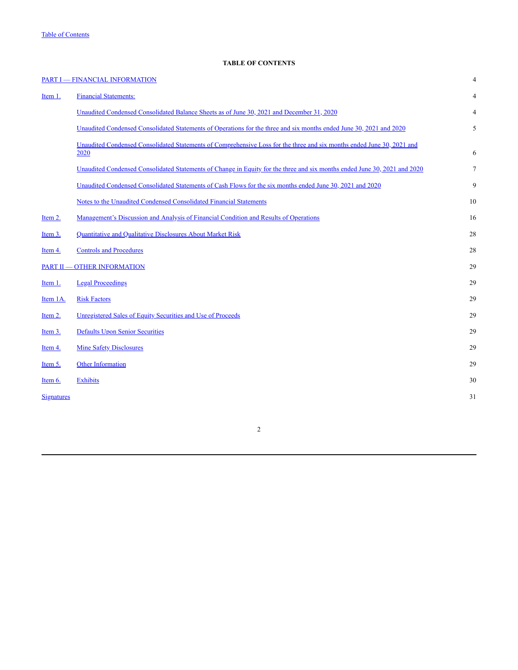## **TABLE OF CONTENTS**

<span id="page-1-0"></span>

|                   | <b>PART I - FINANCIAL INFORMATION</b>                                                                                          | $\overline{4}$ |
|-------------------|--------------------------------------------------------------------------------------------------------------------------------|----------------|
| Item 1.           | <b>Financial Statements:</b>                                                                                                   | 4              |
|                   | Unaudited Condensed Consolidated Balance Sheets as of June 30, 2021 and December 31, 2020                                      | 4              |
|                   | Unaudited Condensed Consolidated Statements of Operations for the three and six months ended June 30, 2021 and 2020            | 5              |
|                   | Unaudited Condensed Consolidated Statements of Comprehensive Loss for the three and six months ended June 30, 2021 and<br>2020 | 6              |
|                   | Unaudited Condensed Consolidated Statements of Change in Equity for the three and six months ended June 30, 2021 and 2020      | $\tau$         |
|                   | Unaudited Condensed Consolidated Statements of Cash Flows for the six months ended June 30, 2021 and 2020                      | 9              |
|                   | Notes to the Unaudited Condensed Consolidated Financial Statements                                                             | 10             |
| Item 2.           | <u>Management's Discussion and Analysis of Financial Condition and Results of Operations</u>                                   | 16             |
| Item 3.           | Quantitative and Qualitative Disclosures About Market Risk                                                                     | 28             |
| Item 4.           | <b>Controls and Procedures</b>                                                                                                 | 28             |
|                   | <b>PART II - OTHER INFORMATION</b>                                                                                             | 29             |
| Item 1.           | <b>Legal Proceedings</b>                                                                                                       | 29             |
| Item 1A.          | <b>Risk Factors</b>                                                                                                            | 29             |
| Item 2.           | Unregistered Sales of Equity Securities and Use of Proceeds                                                                    | 29             |
| Item $3.$         | <b>Defaults Upon Senior Securities</b>                                                                                         | 29             |
| Item 4.           | <b>Mine Safety Disclosures</b>                                                                                                 | 29             |
| Item $5$ .        | <b>Other Information</b>                                                                                                       | 29             |
| Item $6.$         | <b>Exhibits</b>                                                                                                                | 30             |
| <b>Signatures</b> |                                                                                                                                | 31             |
|                   |                                                                                                                                |                |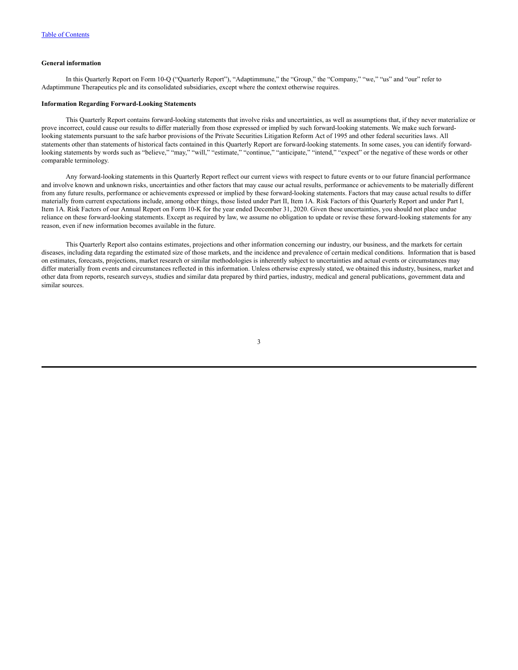#### **General information**

In this Quarterly Report on Form 10-Q ("Quarterly Report"), "Adaptimmune," the "Group," the "Company," "we," "us" and "our" refer to Adaptimmune Therapeutics plc and its consolidated subsidiaries, except where the context otherwise requires.

#### **Information Regarding Forward-Looking Statements**

This Quarterly Report contains forward-looking statements that involve risks and uncertainties, as well as assumptions that, if they never materialize or prove incorrect, could cause our results to differ materially from those expressed or implied by such forward-looking statements. We make such forwardlooking statements pursuant to the safe harbor provisions of the Private Securities Litigation Reform Act of 1995 and other federal securities laws. All statements other than statements of historical facts contained in this Quarterly Report are forward-looking statements. In some cases, you can identify forwardlooking statements by words such as "believe," "may," "will," "estimate," "continue," "anticipate," "intend," "expect" or the negative of these words or other comparable terminology.

Any forward-looking statements in this Quarterly Report reflect our current views with respect to future events or to our future financial performance and involve known and unknown risks, uncertainties and other factors that may cause our actual results, performance or achievements to be materially different from any future results, performance or achievements expressed or implied by these forward-looking statements. Factors that may cause actual results to differ materially from current expectations include, among other things, those listed under Part II, Item 1A. Risk Factors of this Quarterly Report and under Part I, Item 1A. Risk Factors of our Annual Report on Form 10-K for the year ended December 31, 2020. Given these uncertainties, you should not place undue reliance on these forward-looking statements. Except as required by law, we assume no obligation to update or revise these forward-looking statements for any reason, even if new information becomes available in the future.

This Quarterly Report also contains estimates, projections and other information concerning our industry, our business, and the markets for certain diseases, including data regarding the estimated size of those markets, and the incidence and prevalence of certain medical conditions. Information that is based on estimates, forecasts, projections, market research or similar methodologies is inherently subject to uncertainties and actual events or circumstances may differ materially from events and circumstances reflected in this information. Unless otherwise expressly stated, we obtained this industry, business, market and other data from reports, research surveys, studies and similar data prepared by third parties, industry, medical and general publications, government data and similar sources.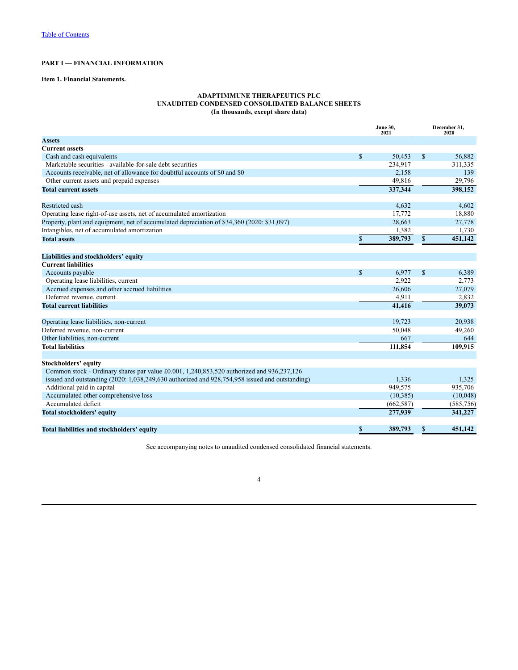## <span id="page-3-0"></span>**PART I — FINANCIAL INFORMATION**

## <span id="page-3-1"></span>**Item 1. Financial Statements.**

## **ADAPTIMMUNE THERAPEUTICS PLC UNAUDITED CONDENSED CONSOLIDATED BALANCE SHEETS (In thousands, except share data)**

<span id="page-3-2"></span>

|                                                                                                    |              | <b>June 30,</b><br>2021 |               | December 31,<br>2020 |
|----------------------------------------------------------------------------------------------------|--------------|-------------------------|---------------|----------------------|
| <b>Assets</b>                                                                                      |              |                         |               |                      |
| <b>Current assets</b>                                                                              |              |                         |               |                      |
| Cash and cash equivalents                                                                          | $\mathbb{S}$ | 50,453                  | $\mathcal{S}$ | 56,882               |
| Marketable securities - available-for-sale debt securities                                         |              | 234,917                 |               | 311,335              |
| Accounts receivable, net of allowance for doubtful accounts of \$0 and \$0                         |              | 2,158                   |               | 139                  |
| Other current assets and prepaid expenses                                                          |              | 49.816                  |               | 29,796               |
| <b>Total current assets</b>                                                                        |              | 337,344                 |               | 398,152              |
| <b>Restricted cash</b>                                                                             |              | 4,632                   |               | 4,602                |
| Operating lease right-of-use assets, net of accumulated amortization                               |              | 17,772                  |               | 18,880               |
| Property, plant and equipment, net of accumulated depreciation of \$34,360 (2020: \$31,097)        |              | 28,663                  |               | 27,778               |
| Intangibles, net of accumulated amortization                                                       |              | 1,382                   |               | 1,730                |
| <b>Total assets</b>                                                                                | \$           | 389,793                 | \$            | 451,142              |
| Liabilities and stockholders' equity                                                               |              |                         |               |                      |
| <b>Current liabilities</b>                                                                         |              |                         |               |                      |
| Accounts payable                                                                                   | $\mathbf{s}$ | 6,977                   | $\mathcal{S}$ | 6,389                |
| Operating lease liabilities, current                                                               |              | 2,922                   |               | 2,773                |
| Accrued expenses and other accrued liabilities                                                     |              | 26,606                  |               | 27,079               |
| Deferred revenue, current                                                                          |              | 4,911                   |               | 2,832                |
| <b>Total current liabilities</b>                                                                   |              | 41,416                  |               | 39,073               |
|                                                                                                    |              |                         |               |                      |
| Operating lease liabilities, non-current                                                           |              | 19,723                  |               | 20,938               |
| Deferred revenue, non-current<br>Other liabilities, non-current                                    |              | 50,048<br>667           |               | 49,260<br>644        |
| <b>Total liabilities</b>                                                                           |              |                         |               |                      |
|                                                                                                    |              | 111,854                 |               | 109,915              |
| <b>Stockholders' equity</b>                                                                        |              |                         |               |                      |
| Common stock - Ordinary shares par value £0.001, 1,240,853,520 authorized and 936,237,126          |              |                         |               |                      |
| issued and outstanding $(2020: 1,038,249,630)$ authorized and $928,754,958$ issued and outstanding |              | 1.336                   |               | 1,325                |
| Additional paid in capital                                                                         |              | 949,575                 |               | 935,706              |
| Accumulated other comprehensive loss                                                               |              | (10, 385)               |               | (10,048)             |
| Accumulated deficit                                                                                |              | (662, 587)              |               | (585, 756)           |
| <b>Total stockholders' equity</b>                                                                  |              | 277,939                 |               | 341,227              |
| Total liabilities and stockholders' equity                                                         | $\mathbb{S}$ | 389,793                 | $\mathbf S$   | 451,142              |

See accompanying notes to unaudited condensed consolidated financial statements.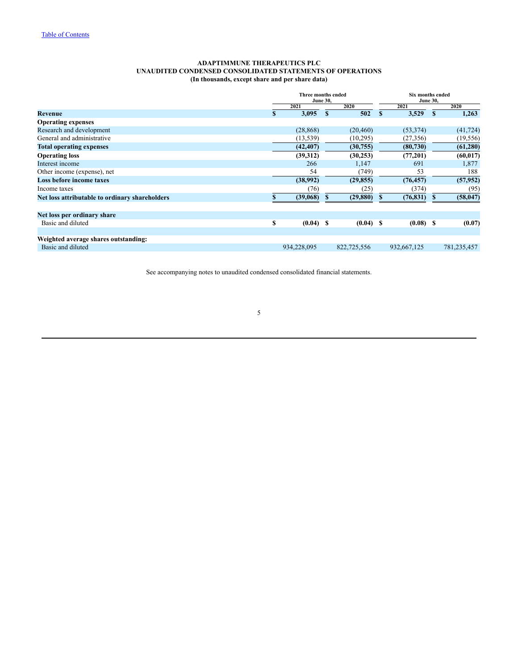#### **ADAPTIMMUNE THERAPEUTICS PLC UNAUDITED CONDENSED CONSOLIDATED STATEMENTS OF OPERATIONS (In thousands, except share and per share data)**

<span id="page-4-0"></span>

|                                                |    | Three months ended | <b>June 30,</b> |                     | <b>Six months ended</b><br><b>June 30,</b> |             |    |             |  |  |
|------------------------------------------------|----|--------------------|-----------------|---------------------|--------------------------------------------|-------------|----|-------------|--|--|
|                                                |    | 2021               |                 | 2020                |                                            | 2021        |    | 2020        |  |  |
| Revenue                                        |    | 3,095<br>S         |                 | 502<br>$\mathbf{s}$ |                                            | 3,529       | -S | 1,263       |  |  |
| <b>Operating expenses</b>                      |    |                    |                 |                     |                                            |             |    |             |  |  |
| Research and development                       |    | (28, 868)          |                 | (20, 460)           |                                            | (53, 374)   |    | (41, 724)   |  |  |
| General and administrative                     |    | (13, 539)          |                 | (10, 295)           |                                            | (27, 356)   |    | (19, 556)   |  |  |
| <b>Total operating expenses</b>                |    | (42, 407)          |                 | (30,755)            |                                            | (80, 730)   |    | (61, 280)   |  |  |
| <b>Operating loss</b>                          |    | (39,312)           |                 | (30, 253)           |                                            | (77,201)    |    | (60, 017)   |  |  |
| Interest income                                |    | 266                |                 | 1,147               |                                            | 691         |    | 1,877       |  |  |
| Other income (expense), net                    |    | 54                 |                 | (749)               |                                            | 53          |    | 188         |  |  |
| <b>Loss before income taxes</b>                |    | (38,992)           |                 | (29, 855)           |                                            | (76, 457)   |    | (57, 952)   |  |  |
| Income taxes                                   |    | (76)               |                 | (25)                |                                            | (374)       |    | (95)        |  |  |
| Net loss attributable to ordinary shareholders |    | (39,068)           |                 | (29, 880)           | S                                          | (76, 831)   |    | (58, 047)   |  |  |
| Net loss per ordinary share                    |    |                    |                 |                     |                                            |             |    |             |  |  |
| Basic and diluted                              | \$ | $(0.04)$ \$        |                 | $(0.04)$ \$         |                                            | $(0.08)$ \$ |    | (0.07)      |  |  |
| Weighted average shares outstanding:           |    |                    |                 |                     |                                            |             |    |             |  |  |
| Basic and diluted                              |    | 934,228,095        |                 | 822,725,556         |                                            | 932,667,125 |    | 781,235,457 |  |  |

See accompanying notes to unaudited condensed consolidated financial statements.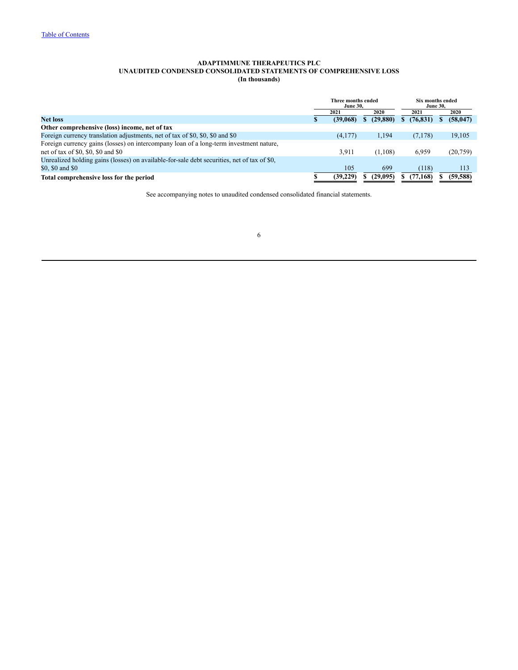#### **ADAPTIMMUNE THERAPEUTICS PLC UNAUDITED CONDENSED CONSOLIDATED STATEMENTS OF COMPREHENSIVE LOSS (In thousands)**

<span id="page-5-0"></span>

|                                                                                             | Three months ended<br><b>June 30.</b> |           | Six months ended<br><b>June 30.</b> |  |           |  |  |
|---------------------------------------------------------------------------------------------|---------------------------------------|-----------|-------------------------------------|--|-----------|--|--|
|                                                                                             | 2021                                  | 2020      | 2021                                |  | 2020      |  |  |
| <b>Net loss</b>                                                                             | (39,068)                              | (29, 880) | (76, 831)                           |  | (58, 047) |  |  |
| Other comprehensive (loss) income, net of tax                                               |                                       |           |                                     |  |           |  |  |
| Foreign currency translation adjustments, net of tax of \$0, \$0, \$0 and \$0               | (4,177)                               | 1,194     | (7,178)                             |  | 19,105    |  |  |
| Foreign currency gains (losses) on intercompany loan of a long-term investment nature.      |                                       |           |                                     |  |           |  |  |
| net of tax of \$0, \$0, \$0 and \$0                                                         | 3.911                                 | (1,108)   | 6,959                               |  | (20,759)  |  |  |
| Unrealized holding gains (losses) on available-for-sale debt securities, net of tax of \$0, |                                       |           |                                     |  |           |  |  |
| \$0, \$0 and \$0                                                                            | 105                                   | 699       | (118)                               |  | 113       |  |  |
| Total comprehensive loss for the period                                                     | (39, 229)                             | (29.095)  | (77, 168)                           |  | (59, 588) |  |  |

See accompanying notes to unaudited condensed consolidated financial statements.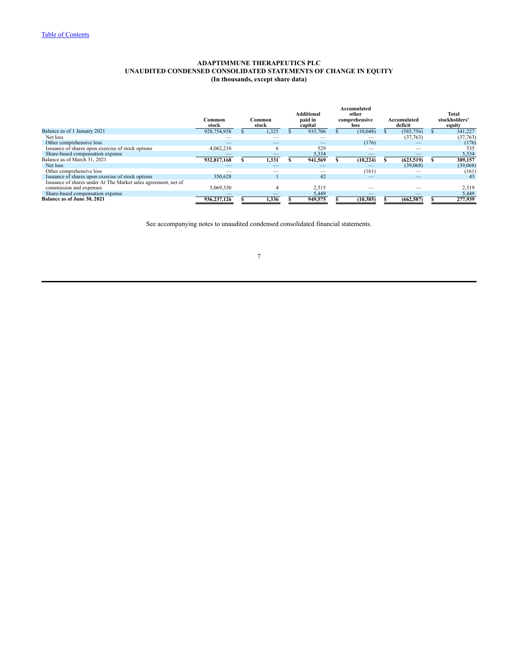#### **ADAPTIMMUNE THERAPEUTICS PLC UNAUDITED CONDENSED CONSOLIDATED STATEMENTS OF CHANGE IN EQUITY (In thousands, except share data)**

<span id="page-6-0"></span>

|                                                                | ∵ommon:<br>stock | Common<br>stock | <b>Additional</b><br>paid in<br>capital | Accumulated<br>other<br>comprehensive<br>loss |                          |            |          |  |  |  |  |  |  |  |  |  |  |  |  |  |  | Accumulated<br>deficit | Total<br>stockholders<br>equity |
|----------------------------------------------------------------|------------------|-----------------|-----------------------------------------|-----------------------------------------------|--------------------------|------------|----------|--|--|--|--|--|--|--|--|--|--|--|--|--|--|------------------------|---------------------------------|
| Balance as of 1 January 2021                                   | 928,754,958      | 1,325           | 935,706                                 |                                               | (10,048)                 | (585, 756) | 341,227  |  |  |  |  |  |  |  |  |  |  |  |  |  |  |                        |                                 |
| Net loss                                                       |                  |                 |                                         |                                               |                          | (37,763)   | (37,763) |  |  |  |  |  |  |  |  |  |  |  |  |  |  |                        |                                 |
| Other comprehensive loss                                       |                  | –               |                                         |                                               | (176)                    |            | (176)    |  |  |  |  |  |  |  |  |  |  |  |  |  |  |                        |                                 |
| Issuance of shares upon exercise of stock options              | 4,062,210        | $\sigma$        | 529                                     |                                               | -                        | _          | 535      |  |  |  |  |  |  |  |  |  |  |  |  |  |  |                        |                                 |
| Share-based compensation expense                               |                  |                 | 5,334                                   |                                               |                          |            | 5,334    |  |  |  |  |  |  |  |  |  |  |  |  |  |  |                        |                                 |
| Balance as of March 31, 2021                                   | 932,817,168      | 1,331           | 941,569                                 |                                               | (10, 224)                | (623, 519) | 309,157  |  |  |  |  |  |  |  |  |  |  |  |  |  |  |                        |                                 |
| Net loss                                                       |                  |                 |                                         |                                               |                          | (39,068)   | (39,068) |  |  |  |  |  |  |  |  |  |  |  |  |  |  |                        |                                 |
| Other comprehensive loss                                       |                  |                 |                                         |                                               | (161)                    |            | (161)    |  |  |  |  |  |  |  |  |  |  |  |  |  |  |                        |                                 |
| Issuance of shares upon exercise of stock options              | 350,628          |                 | 42                                      |                                               | $\overline{\phantom{a}}$ |            | 43       |  |  |  |  |  |  |  |  |  |  |  |  |  |  |                        |                                 |
| Issuance of shares under At The Market sales agreement, net of |                  |                 |                                         |                                               |                          |            |          |  |  |  |  |  |  |  |  |  |  |  |  |  |  |                        |                                 |
| commission and expenses                                        | 3,069,330        |                 | 2,515                                   |                                               |                          |            | 2,519    |  |  |  |  |  |  |  |  |  |  |  |  |  |  |                        |                                 |
| Share-based compensation expense                               |                  |                 | 5,449                                   |                                               |                          |            | 5,449    |  |  |  |  |  |  |  |  |  |  |  |  |  |  |                        |                                 |
| Balance as of June 30, 2021                                    | 936,237,126      | 1.336           | 949,575                                 |                                               | (10, 385)                | (662, 587) | 277,939  |  |  |  |  |  |  |  |  |  |  |  |  |  |  |                        |                                 |

See accompanying notes to unaudited condensed consolidated financial statements.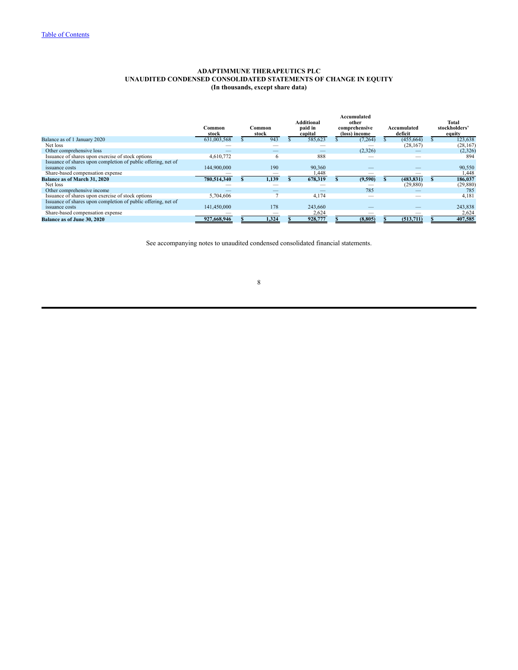## **ADAPTIMMUNE THERAPEUTICS PLC UNAUDITED CONDENSED CONSOLIDATED STATEMENTS OF CHANGE IN EQUITY (In thousands, except share data)**

|                                                               | Common<br>stock | Common<br>stock | <b>Additional</b><br>paid in<br>capital | Accumulated<br>other<br>comprehensive<br>(loss) income |          |            |           |  |  |  |  |  |  |  |  |  |  |  |  |  |  |  |  |  |  | Accumulated<br>deficit | Total<br>stockholders'<br>equity |
|---------------------------------------------------------------|-----------------|-----------------|-----------------------------------------|--------------------------------------------------------|----------|------------|-----------|--|--|--|--|--|--|--|--|--|--|--|--|--|--|--|--|--|--|------------------------|----------------------------------|
| Balance as of 1 January 2020                                  | 631,003,568     | 943             | 585,623                                 |                                                        | (7, 264) | (455, 664) | 123,638   |  |  |  |  |  |  |  |  |  |  |  |  |  |  |  |  |  |  |                        |                                  |
| Net loss                                                      |                 |                 |                                         |                                                        |          | (28, 167)  | (28, 167) |  |  |  |  |  |  |  |  |  |  |  |  |  |  |  |  |  |  |                        |                                  |
| Other comprehensive loss                                      |                 | _               |                                         |                                                        | (2,326)  |            | (2,326)   |  |  |  |  |  |  |  |  |  |  |  |  |  |  |  |  |  |  |                        |                                  |
| Issuance of shares upon exercise of stock options             | 4,610,772       | 6               | 888                                     |                                                        |          |            | 894       |  |  |  |  |  |  |  |  |  |  |  |  |  |  |  |  |  |  |                        |                                  |
| Issuance of shares upon completion of public offering, net of |                 |                 |                                         |                                                        |          |            |           |  |  |  |  |  |  |  |  |  |  |  |  |  |  |  |  |  |  |                        |                                  |
| issuance costs                                                | 144,900,000     | 190             | 90,360                                  |                                                        |          |            | 90,550    |  |  |  |  |  |  |  |  |  |  |  |  |  |  |  |  |  |  |                        |                                  |
| Share-based compensation expense                              |                 |                 | 448. ا                                  |                                                        |          |            | 1,448     |  |  |  |  |  |  |  |  |  |  |  |  |  |  |  |  |  |  |                        |                                  |
| <b>Balance as of March 31, 2020</b>                           | 780,514,340     | 1,139           | 678,319                                 |                                                        | (9,590)  | (483, 831) | 186,037   |  |  |  |  |  |  |  |  |  |  |  |  |  |  |  |  |  |  |                        |                                  |
| Net loss                                                      |                 |                 |                                         |                                                        |          | (29, 880)  | (29, 880) |  |  |  |  |  |  |  |  |  |  |  |  |  |  |  |  |  |  |                        |                                  |
| Other comprehensive income                                    |                 |                 |                                         |                                                        | 785      |            | 785       |  |  |  |  |  |  |  |  |  |  |  |  |  |  |  |  |  |  |                        |                                  |
| Issuance of shares upon exercise of stock options             | 5,704,606       |                 | 4,174                                   |                                                        |          |            | 4,181     |  |  |  |  |  |  |  |  |  |  |  |  |  |  |  |  |  |  |                        |                                  |
| Issuance of shares upon completion of public offering, net of |                 |                 |                                         |                                                        |          |            |           |  |  |  |  |  |  |  |  |  |  |  |  |  |  |  |  |  |  |                        |                                  |
| issuance costs                                                | 141,450,000     | 178             | 243,660                                 |                                                        |          |            | 243,838   |  |  |  |  |  |  |  |  |  |  |  |  |  |  |  |  |  |  |                        |                                  |
| Share-based compensation expense                              |                 |                 | 2,624                                   |                                                        |          |            | 2,624     |  |  |  |  |  |  |  |  |  |  |  |  |  |  |  |  |  |  |                        |                                  |
| <b>Balance as of June 30, 2020</b>                            | 927,668,946     | 1.324           | 928,777                                 |                                                        | (8, 805) | (513,711)  | 407,585   |  |  |  |  |  |  |  |  |  |  |  |  |  |  |  |  |  |  |                        |                                  |

See accompanying notes to unaudited condensed consolidated financial statements.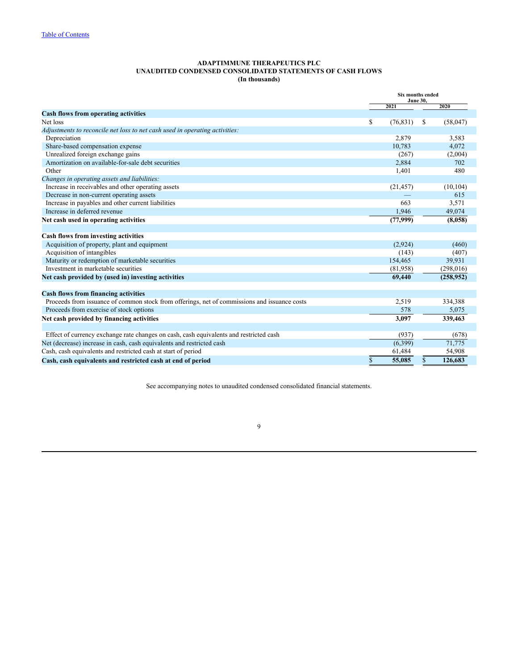#### **ADAPTIMMUNE THERAPEUTICS PLC UNAUDITED CONDENSED CONSOLIDATED STATEMENTS OF CASH FLOWS (In thousands)**

<span id="page-8-0"></span>

|                                                                                              | Six months ended<br><b>June 30,</b> |             |            |  |  |  |  |
|----------------------------------------------------------------------------------------------|-------------------------------------|-------------|------------|--|--|--|--|
|                                                                                              | 2021                                |             | 2020       |  |  |  |  |
| <b>Cash flows from operating activities</b>                                                  |                                     |             |            |  |  |  |  |
| Net loss                                                                                     | \$<br>(76, 831)                     | S           | (58,047)   |  |  |  |  |
| Adjustments to reconcile net loss to net cash used in operating activities:                  |                                     |             |            |  |  |  |  |
| Depreciation                                                                                 | 2,879                               |             | 3,583      |  |  |  |  |
| Share-based compensation expense                                                             | 10,783                              |             | 4,072      |  |  |  |  |
| Unrealized foreign exchange gains                                                            | (267)                               |             | (2,004)    |  |  |  |  |
| Amortization on available-for-sale debt securities                                           | 2,884                               |             | 702        |  |  |  |  |
| Other                                                                                        | 1,401                               |             | 480        |  |  |  |  |
| Changes in operating assets and liabilities:                                                 |                                     |             |            |  |  |  |  |
| Increase in receivables and other operating assets                                           | (21, 457)                           |             | (10, 104)  |  |  |  |  |
| Decrease in non-current operating assets                                                     |                                     |             | 615        |  |  |  |  |
| Increase in payables and other current liabilities                                           | 663                                 |             | 3,571      |  |  |  |  |
| Increase in deferred revenue                                                                 | 1.946                               |             | 49,074     |  |  |  |  |
| Net cash used in operating activities                                                        | (77,999)                            |             | (8,058)    |  |  |  |  |
|                                                                                              |                                     |             |            |  |  |  |  |
| Cash flows from investing activities                                                         |                                     |             |            |  |  |  |  |
| Acquisition of property, plant and equipment                                                 | (2,924)                             |             | (460)      |  |  |  |  |
| Acquisition of intangibles                                                                   | (143)                               |             | (407)      |  |  |  |  |
| Maturity or redemption of marketable securities                                              | 154,465                             |             | 39,931     |  |  |  |  |
| Investment in marketable securities                                                          | (81,958)                            |             | (298, 016) |  |  |  |  |
| Net cash provided by (used in) investing activities                                          | 69,440                              |             | (258,952)  |  |  |  |  |
| <b>Cash flows from financing activities</b>                                                  |                                     |             |            |  |  |  |  |
| Proceeds from issuance of common stock from offerings, net of commissions and issuance costs | 2,519                               |             | 334,388    |  |  |  |  |
|                                                                                              | 578                                 |             | 5,075      |  |  |  |  |
| Proceeds from exercise of stock options                                                      |                                     |             |            |  |  |  |  |
| Net cash provided by financing activities                                                    | 3,097                               |             | 339,463    |  |  |  |  |
| Effect of currency exchange rate changes on cash, cash equivalents and restricted cash       | (937)                               |             | (678)      |  |  |  |  |
| Net (decrease) increase in cash, cash equivalents and restricted cash                        | (6,399)                             |             | 71,775     |  |  |  |  |
| Cash, cash equivalents and restricted cash at start of period                                | 61,484                              |             | 54,908     |  |  |  |  |
| Cash, cash equivalents and restricted cash at end of period                                  | \$<br>55,085                        | $\mathbf S$ | 126,683    |  |  |  |  |

See accompanying notes to unaudited condensed consolidated financial statements.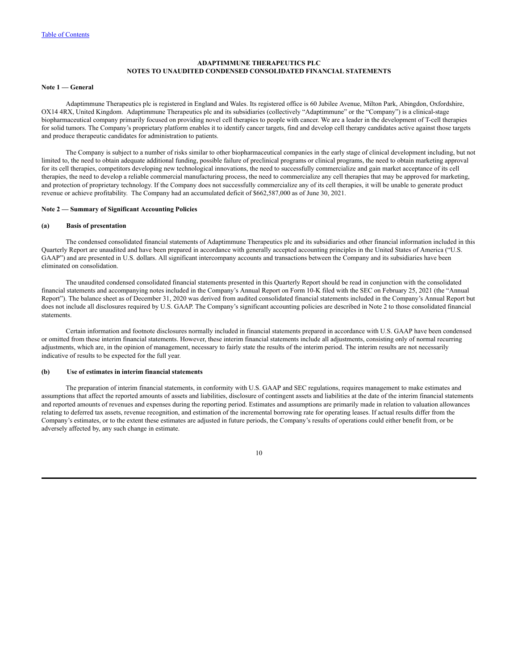## **ADAPTIMMUNE THERAPEUTICS PLC NOTES TO UNAUDITED CONDENSED CONSOLIDATED FINANCIAL STATEMENTS**

#### <span id="page-9-0"></span>**Note 1 — General**

Adaptimmune Therapeutics plc is registered in England and Wales. Its registered office is 60 Jubilee Avenue, Milton Park, Abingdon, Oxfordshire, OX14 4RX, United Kingdom. Adaptimmune Therapeutics plc and its subsidiaries (collectively "Adaptimmune" or the "Company") is a clinical-stage biopharmaceutical company primarily focused on providing novel cell therapies to people with cancer. We are a leader in the development of T-cell therapies for solid tumors. The Company's proprietary platform enables it to identify cancer targets, find and develop cell therapy candidates active against those targets and produce therapeutic candidates for administration to patients.

The Company is subject to a number of risks similar to other biopharmaceutical companies in the early stage of clinical development including, but not limited to, the need to obtain adequate additional funding, possible failure of preclinical programs or clinical programs, the need to obtain marketing approval for its cell therapies, competitors developing new technological innovations, the need to successfully commercialize and gain market acceptance of its cell therapies, the need to develop a reliable commercial manufacturing process, the need to commercialize any cell therapies that may be approved for marketing, and protection of proprietary technology. If the Company does not successfully commercialize any of its cell therapies, it will be unable to generate product revenue or achieve profitability. The Company had an accumulated deficit of \$662,587,000 as of June 30, 2021.

#### **Note 2 — Summary of Significant Accounting Policies**

#### **(a) Basis of presentation**

The condensed consolidated financial statements of Adaptimmune Therapeutics plc and its subsidiaries and other financial information included in this Quarterly Report are unaudited and have been prepared in accordance with generally accepted accounting principles in the United States of America ("U.S. GAAP") and are presented in U.S. dollars. All significant intercompany accounts and transactions between the Company and its subsidiaries have been eliminated on consolidation.

The unaudited condensed consolidated financial statements presented in this Quarterly Report should be read in conjunction with the consolidated financial statements and accompanying notes included in the Company's Annual Report on Form 10-K filed with the SEC on February 25, 2021 (the "Annual Report"). The balance sheet as of December 31, 2020 was derived from audited consolidated financial statements included in the Company's Annual Report but does not include all disclosures required by U.S. GAAP. The Company's significant accounting policies are described in Note 2 to those consolidated financial statements.

Certain information and footnote disclosures normally included in financial statements prepared in accordance with U.S. GAAP have been condensed or omitted from these interim financial statements. However, these interim financial statements include all adjustments, consisting only of normal recurring adjustments, which are, in the opinion of management, necessary to fairly state the results of the interim period. The interim results are not necessarily indicative of results to be expected for the full year.

#### **(b) Use of estimates in interim financial statements**

The preparation of interim financial statements, in conformity with U.S. GAAP and SEC regulations, requires management to make estimates and assumptions that affect the reported amounts of assets and liabilities, disclosure of contingent assets and liabilities at the date of the interim financial statements and reported amounts of revenues and expenses during the reporting period. Estimates and assumptions are primarily made in relation to valuation allowances relating to deferred tax assets, revenue recognition, and estimation of the incremental borrowing rate for operating leases. If actual results differ from the Company's estimates, or to the extent these estimates are adjusted in future periods, the Company's results of operations could either benefit from, or be adversely affected by, any such change in estimate.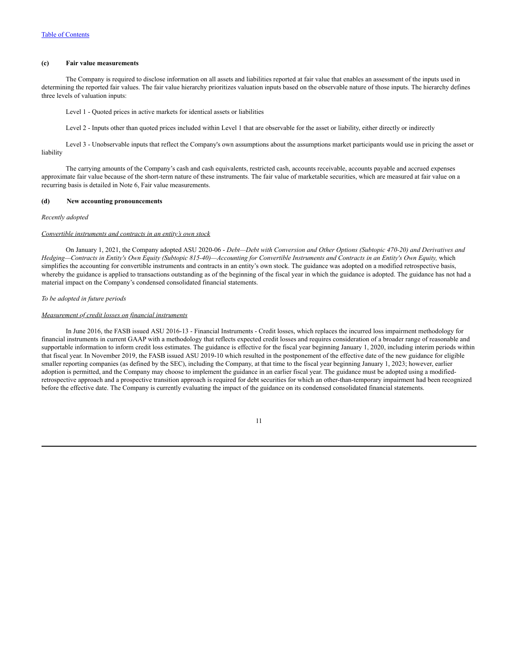#### **(c) Fair value measurements**

The Company is required to disclose information on all assets and liabilities reported at fair value that enables an assessment of the inputs used in determining the reported fair values. The fair value hierarchy prioritizes valuation inputs based on the observable nature of those inputs. The hierarchy defines three levels of valuation inputs:

Level 1 - Quoted prices in active markets for identical assets or liabilities

Level 2 - Inputs other than quoted prices included within Level 1 that are observable for the asset or liability, either directly or indirectly

Level 3 - Unobservable inputs that reflect the Company's own assumptions about the assumptions market participants would use in pricing the asset or liability

The carrying amounts of the Company's cash and cash equivalents, restricted cash, accounts receivable, accounts payable and accrued expenses approximate fair value because of the short-term nature of these instruments. The fair value of marketable securities, which are measured at fair value on a recurring basis is detailed in Note 6, Fair value measurements.

#### **(d) New accounting pronouncements**

#### *Recently adopted*

#### *Convertible instruments and contracts in an entity's own stock*

On January 1, 2021, the Company adopted ASU 2020-06 - *Debt—Debt with Conversion and Other Options (Subtopic 470-20) and Derivatives and* Hedging-Contracts in Entity's Own Equity (Subtopic 815-40)-Accounting for Convertible Instruments and Contracts in an Entity's Own Equity, which simplifies the accounting for convertible instruments and contracts in an entity's own stock. The guidance was adopted on a modified retrospective basis, whereby the guidance is applied to transactions outstanding as of the beginning of the fiscal year in which the guidance is adopted. The guidance has not had a material impact on the Company's condensed consolidated financial statements.

#### *To be adopted in future periods*

#### *Measurement of credit losses on financial instruments*

In June 2016, the FASB issued ASU 2016-13 - Financial Instruments - Credit losses, which replaces the incurred loss impairment methodology for financial instruments in current GAAP with a methodology that reflects expected credit losses and requires consideration of a broader range of reasonable and supportable information to inform credit loss estimates. The guidance is effective for the fiscal year beginning January 1, 2020, including interim periods within that fiscal year. In November 2019, the FASB issued ASU 2019-10 which resulted in the postponement of the effective date of the new guidance for eligible smaller reporting companies (as defined by the SEC), including the Company, at that time to the fiscal year beginning January 1, 2023; however, earlier adoption is permitted, and the Company may choose to implement the guidance in an earlier fiscal year. The guidance must be adopted using a modifiedretrospective approach and a prospective transition approach is required for debt securities for which an other-than-temporary impairment had been recognized before the effective date. The Company is currently evaluating the impact of the guidance on its condensed consolidated financial statements.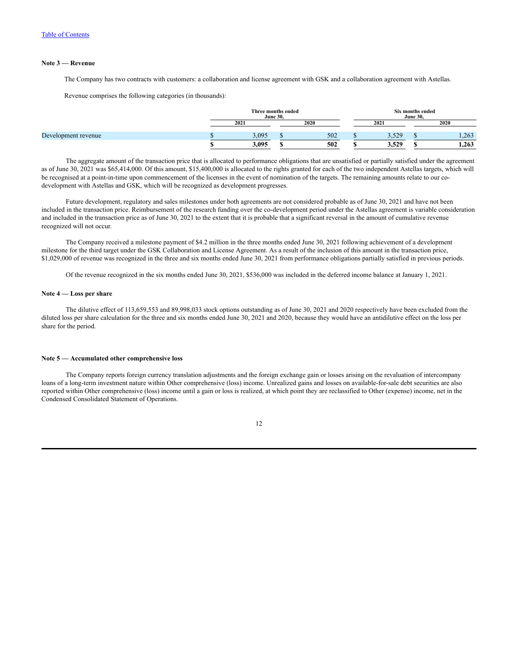#### **Note 3 — Revenue**

The Company has two contracts with customers: a collaboration and license agreement with GSK and a collaboration agreement with Astellas.

Revenue comprises the following categories (in thousands):

|                     |       | Three months ended<br><b>June 30,</b> |      |       | Six months ended<br><b>June 30,</b> |      |
|---------------------|-------|---------------------------------------|------|-------|-------------------------------------|------|
|                     | 2021  |                                       | 2020 | 2021  |                                     | 2020 |
| Development revenue | 3.095 |                                       | 502  | 5.520 |                                     | .263 |
|                     | 3.095 |                                       | 502  | 3,529 |                                     | .263 |

The aggregate amount of the transaction price that is allocated to performance obligations that are unsatisfied or partially satisfied under the agreement as of June 30, 2021 was \$65,414,000. Of this amount, \$15,400,000 is allocated to the rights granted for each of the two independent Astellas targets, which will be recognised at a point-in-time upon commencement of the licenses in the event of nomination of the targets. The remaining amounts relate to our codevelopment with Astellas and GSK, which will be recognized as development progresses.

Future development, regulatory and sales milestones under both agreements are not considered probable as of June 30, 2021 and have not been included in the transaction price. Reimbursement of the research funding over the co-development period under the Astellas agreement is variable consideration and included in the transaction price as of June 30, 2021 to the extent that it is probable that a significant reversal in the amount of cumulative revenue recognized will not occur.

The Company received a milestone payment of \$4.2 million in the three months ended June 30, 2021 following achievement of a development milestone for the third target under the GSK Collaboration and License Agreement. As a result of the inclusion of this amount in the transaction price, \$1,029,000 of revenue was recognized in the three and six months ended June 30, 2021 from performance obligations partially satisfied in previous periods.

Of the revenue recognized in the six months ended June 30, 2021, \$536,000 was included in the deferred income balance at January 1, 2021.

## **Note 4 — Loss per share**

The dilutive effect of 113,659,553 and 89,998,033 stock options outstanding as of June 30, 2021 and 2020 respectively have been excluded from the diluted loss per share calculation for the three and six months ended June 30, 2021 and 2020, because they would have an antidilutive effect on the loss per share for the period.

#### **Note 5 — Accumulated other comprehensive loss**

The Company reports foreign currency translation adjustments and the foreign exchange gain or losses arising on the revaluation of intercompany loans of a long-term investment nature within Other comprehensive (loss) income. Unrealized gains and losses on available-for-sale debt securities are also reported within Other comprehensive (loss) income until a gain or loss is realized, at which point they are reclassified to Other (expense) income, net in the Condensed Consolidated Statement of Operations.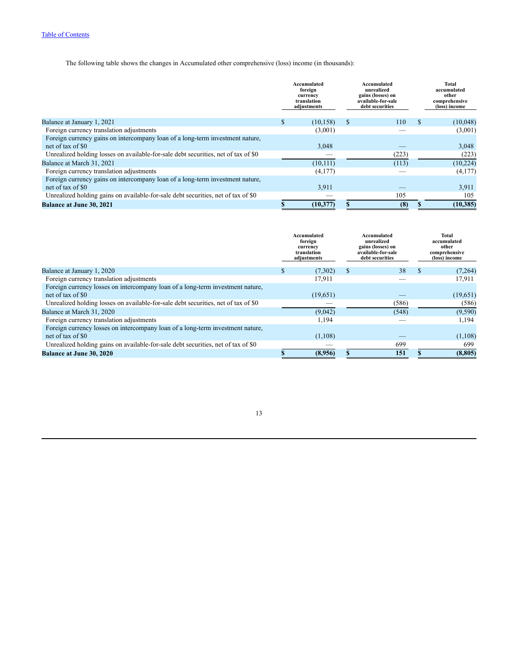The following table shows the changes in Accumulated other comprehensive (loss) income (in thousands):

|                                                                                    |     | Accumulated<br>foreign<br>currency<br>translation<br>adjustments |   | Accumulated<br>unrealized<br>gains (losses) on<br>available-for-sale<br>debt securities | <b>Total</b><br>accumulated<br>other<br>comprehensive<br>(loss) income |
|------------------------------------------------------------------------------------|-----|------------------------------------------------------------------|---|-----------------------------------------------------------------------------------------|------------------------------------------------------------------------|
| Balance at January 1, 2021                                                         | \$. | (10, 158)                                                        | S | 110                                                                                     | (10,048)                                                               |
| Foreign currency translation adjustments                                           |     | (3,001)                                                          |   |                                                                                         | (3,001)                                                                |
| Foreign currency gains on intercompany loan of a long-term investment nature,      |     |                                                                  |   |                                                                                         |                                                                        |
| net of tax of \$0                                                                  |     | 3,048                                                            |   |                                                                                         | 3,048                                                                  |
| Unrealized holding losses on available-for-sale debt securities, net of tax of \$0 |     |                                                                  |   | (223)                                                                                   | (223)                                                                  |
| Balance at March 31, 2021                                                          |     | (10, 111)                                                        |   | (113)                                                                                   | (10, 224)                                                              |
| Foreign currency translation adjustments                                           |     | (4,177)                                                          |   |                                                                                         | (4,177)                                                                |
| Foreign currency gains on intercompany loan of a long-term investment nature,      |     |                                                                  |   |                                                                                         |                                                                        |
| net of tax of \$0                                                                  |     | 3,911                                                            |   |                                                                                         | 3.911                                                                  |
| Unrealized holding gains on available-for-sale debt securities, net of tax of \$0  |     |                                                                  |   | 105                                                                                     | 105                                                                    |
| <b>Balance at June 30, 2021</b>                                                    |     | (10, 377)                                                        |   | (8)                                                                                     | (10, 385)                                                              |

|                                                                                    | Accumulated<br>foreign<br>currency<br>translation<br>adjustments |          |   | Accumulated<br>unrealized<br>gains (losses) on<br>available-for-sale<br>debt securities |               | Total<br>accumulated<br>other<br>comprehensive<br>(loss) income |
|------------------------------------------------------------------------------------|------------------------------------------------------------------|----------|---|-----------------------------------------------------------------------------------------|---------------|-----------------------------------------------------------------|
| Balance at January 1, 2020                                                         |                                                                  | (7,302)  | S | 38                                                                                      | $\mathcal{L}$ | (7,264)                                                         |
| Foreign currency translation adjustments                                           |                                                                  | 17,911   |   |                                                                                         |               | 17,911                                                          |
| Foreign currency losses on intercompany loan of a long-term investment nature.     |                                                                  |          |   |                                                                                         |               |                                                                 |
| net of tax of \$0                                                                  |                                                                  | (19,651) |   |                                                                                         |               | (19,651)                                                        |
| Unrealized holding losses on available-for-sale debt securities, net of tax of \$0 |                                                                  |          |   | (586)                                                                                   |               | (586)                                                           |
| Balance at March 31, 2020                                                          |                                                                  | (9,042)  |   | (548)                                                                                   |               | (9,590)                                                         |
| Foreign currency translation adjustments                                           |                                                                  | 1,194    |   |                                                                                         |               | 1,194                                                           |
| Foreign currency losses on intercompany loan of a long-term investment nature,     |                                                                  |          |   |                                                                                         |               |                                                                 |
| net of tax of \$0                                                                  |                                                                  | (1,108)  |   |                                                                                         |               | (1,108)                                                         |
| Unrealized holding gains on available-for-sale debt securities, net of tax of \$0  |                                                                  |          |   | 699                                                                                     |               | 699                                                             |
| <b>Balance at June 30, 2020</b>                                                    |                                                                  | (8,956)  |   | 151                                                                                     |               | (8, 805)                                                        |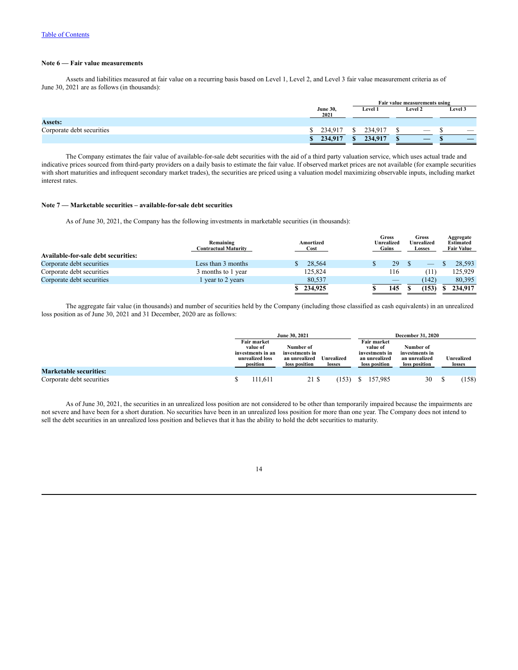### **Note 6 — Fair value measurements**

Assets and liabilities measured at fair value on a recurring basis based on Level 1, Level 2, and Level 3 fair value measurement criteria as of June 30, 2021 are as follows (in thousands):

|                           |                         |                |                | Fair value measurements using |                          |
|---------------------------|-------------------------|----------------|----------------|-------------------------------|--------------------------|
|                           | <b>June 30,</b><br>2021 | <b>Level 1</b> | <b>Level 2</b> |                               | Level 3                  |
| <b>Assets:</b>            |                         |                |                |                               |                          |
| Corporate debt securities | 234.917                 | 234.917        |                | $\overline{\phantom{a}}$      | $\overline{\phantom{a}}$ |
|                           | 234,917                 | 234,917        |                | _                             |                          |

The Company estimates the fair value of available-for-sale debt securities with the aid of a third party valuation service, which uses actual trade and indicative prices sourced from third-party providers on a daily basis to estimate the fair value. If observed market prices are not available (for example securities with short maturities and infrequent secondary market trades), the securities are priced using a valuation model maximizing observable inputs, including market interest rates.

#### **Note 7 — Marketable securities – available-for-sale debt securities**

As of June 30, 2021, the Company has the following investments in marketable securities (in thousands):

|                                     | Remaining<br><b>Contractual Maturity</b> | Amortized<br>Cost | Gross<br>Unrealized<br>Gains | Gross<br>Unrealized<br><b>Losses</b> | Aggregate<br><b>Estimated</b><br><b>Fair Value</b> |
|-------------------------------------|------------------------------------------|-------------------|------------------------------|--------------------------------------|----------------------------------------------------|
| Available-for-sale debt securities: |                                          |                   |                              |                                      |                                                    |
| Corporate debt securities           | Less than 3 months                       | 28,564            | 29                           |                                      | 28.593                                             |
| Corporate debt securities           | 3 months to 1 year                       | 125,824           | 116                          |                                      | 125.929                                            |
| Corporate debt securities           | lyear to 2 years                         | 80,537            |                              | (142)                                | 80.395                                             |
|                                     |                                          | 234,925           | 145                          | (153)                                | 234,917                                            |

The aggregate fair value (in thousands) and number of securities held by the Company (including those classified as cash equivalents) in an unrealized loss position as of June 30, 2021 and 31 December, 2020 are as follows:

|                               |                                                                             | June 30, 2021                                                 |                      |    |                                                                                    | <b>December 31, 2020</b>                                      |  |                      |
|-------------------------------|-----------------------------------------------------------------------------|---------------------------------------------------------------|----------------------|----|------------------------------------------------------------------------------------|---------------------------------------------------------------|--|----------------------|
|                               | Fair market<br>value of<br>investments in an<br>unrealized loss<br>position | Number of<br>investments in<br>an unrealized<br>loss position | Unrealized<br>losses |    | <b>Fair market</b><br>value of<br>investments in<br>an unrealized<br>loss position | Number of<br>investments in<br>an unrealized<br>loss position |  | Unrealized<br>losses |
| <b>Marketable securities:</b> |                                                                             |                                                               |                      |    |                                                                                    |                                                               |  |                      |
| Corporate debt securities     | 111,611                                                                     | 21 \$                                                         | (153)                | S. | 157,985                                                                            | 30                                                            |  | 158)                 |

As of June 30, 2021, the securities in an unrealized loss position are not considered to be other than temporarily impaired because the impairments are not severe and have been for a short duration. No securities have been in an unrealized loss position for more than one year. The Company does not intend to sell the debt securities in an unrealized loss position and believes that it has the ability to hold the debt securities to maturity.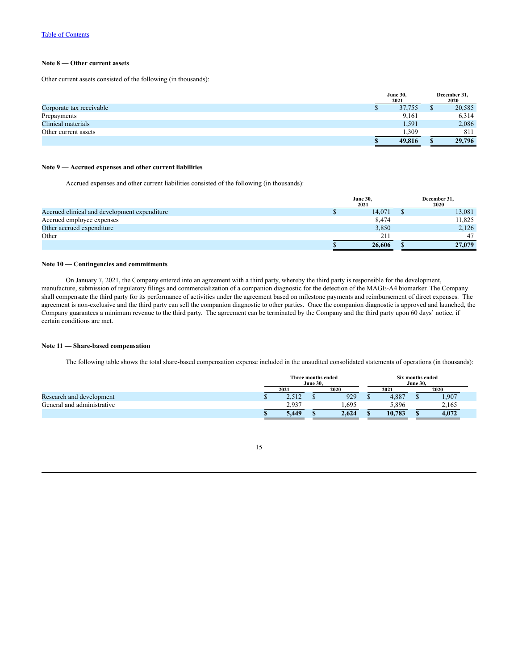## **Note 8 — Other current assets**

Other current assets consisted of the following (in thousands):

|                          | <b>June 30,</b><br>2021 | December 31,<br>2020 |
|--------------------------|-------------------------|----------------------|
| Corporate tax receivable | 37,755                  | 20,585               |
| Prepayments              | 9.161                   | 6,314                |
| Clinical materials       | 1,591                   | 2,086                |
| Other current assets     | ,309                    | 811                  |
|                          | 49,816                  | 29,796               |

## **Note 9 — Accrued expenses and other current liabilities**

Accrued expenses and other current liabilities consisted of the following (in thousands):

|                                              | <b>June 30,</b> | 2021   | December 31,<br>2020 |
|----------------------------------------------|-----------------|--------|----------------------|
| Accrued clinical and development expenditure |                 | 14.071 | 13,081               |
| Accrued employee expenses                    |                 | 8.474  | 11,825               |
| Other accrued expenditure                    |                 | 3,850  | 2,126                |
| Other                                        |                 | 211    | 47                   |
|                                              |                 | 26,606 | 27,079               |

## **Note 10 — Contingencies and commitments**

On January 7, 2021, the Company entered into an agreement with a third party, whereby the third party is responsible for the development, manufacture, submission of regulatory filings and commercialization of a companion diagnostic for the detection of the MAGE-A4 biomarker. The Company shall compensate the third party for its performance of activities under the agreement based on milestone payments and reimbursement of direct expenses. The agreement is non-exclusive and the third party can sell the companion diagnostic to other parties. Once the companion diagnostic is approved and launched, the Company guarantees a minimum revenue to the third party. The agreement can be terminated by the Company and the third party upon 60 days' notice, if certain conditions are met.

#### **Note 11 — Share-based compensation**

The following table shows the total share-based compensation expense included in the unaudited consolidated statements of operations (in thousands):

|                            | Three months ended | <b>June 30.</b> |       |        | Six months ended<br><b>June 30.</b> |       |
|----------------------------|--------------------|-----------------|-------|--------|-------------------------------------|-------|
|                            | 2021               |                 | 2020  | 2021   |                                     | 2020  |
| Research and development   | 2.512              |                 | 929   | 4.887  |                                     | 1,907 |
| General and administrative | 2.937              |                 | .695  | 5.896  |                                     | 2,165 |
|                            | 5.449              |                 | 2,624 | 10.783 |                                     | 4.072 |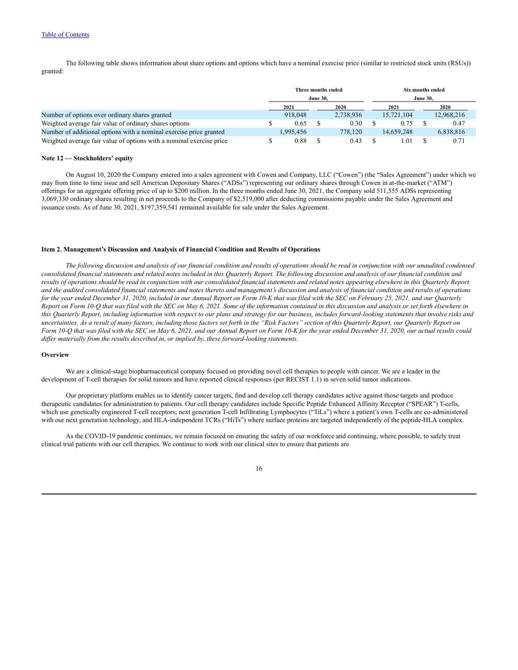The following table shows information about share options and options which have a nominal exercise price (similar to restricted stock units (RSUs)) granted:

|                                                                      |           | <b>June 30.</b> | Three months ended |                 | <b>June 30,</b> | Six months ended |
|----------------------------------------------------------------------|-----------|-----------------|--------------------|-----------------|-----------------|------------------|
|                                                                      | 2021      |                 | 2020               | 2021            |                 | 2020             |
| Number of options over ordinary shares granted                       | 918,048   |                 | 2,738,936          | 15.721.104      |                 | 12,968,216       |
| Weighted average fair value of ordinary shares options               | 0.65      |                 | 0.30               | 0.75            |                 | 0.47             |
| Number of additional options with a nominal exercise price granted   | 1.995.456 |                 | 778.120            | 14.659.248      |                 | 6,838,816        |
| Weighted average fair value of options with a nominal exercise price | 0.88      |                 | 0.43               | $\pm 0^{\circ}$ |                 | 0.71             |

#### **Note 12 — Stockholders' equity**

On August 10, 2020 the Company entered into a sales agreement with Cowen and Company, LLC ("Cowen") (the "Sales Agreement") under which we may from time to time issue and sell American Depositary Shares ("ADSs") representing our ordinary shares through Cowen in at-the-market ("ATM") offerings for an aggregate offering price of up to \$200 million. In the three months ended June 30, 2021, the Company sold 511,555 ADSs representing 3,069,330 ordinary shares resulting in net proceeds to the Company of \$2,519,000 after deducting commissions payable under the Sales Agreement and issuance costs. As of June 30, 2021, \$197,359,541 remained available for sale under the Sales Agreement.

#### <span id="page-15-0"></span>**Item 2. Management's Discussion and Analysis of Financial Condition and Results of Operations**

The following discussion and analysis of our financial condition and results of operations should be read in conjunction with our unaudited condensed consolidated financial statements and related notes included in this Quarterly Report. The following discussion and analysis of our financial condition and results of operations should be read in conjunction with our consolidated financial statements and related notes appearing elsewhere in this Quarterly Report and the audited consolidated financial statements and notes thereto and management's discussion and analysis of financial condition and results of operations for the year ended December 31, 2020, included in our Annual Report on Form 10-K that was filed with the SEC on February 25, 2021, and our Quarterly Report on Form 10-O that was filed with the SEC on May 6, 2021. Some of the information contained in this discussion and analysis or set forth elsewhere in this Quarterly Report, including information with respect to our plans and strategy for our business, includes forward-looking statements that involve risks and uncertainties. As a result of many factors, including those factors set forth in the "Risk Factors" section of this Quarterly Report, our Quarterly Report on Form 10-Q that was filed with the SEC on May 6, 2021, and our Annual Report on Form 10-K for the year ended December 31, 2020, our actual results could *dif er materially from the results described in, or implied by, these forward-looking statements.*

#### **Overview**

We are a clinical-stage biopharmaceutical company focused on providing novel cell therapies to people with cancer. We are a leader in the development of T-cell therapies for solid tumors and have reported clinical responses (per RECIST 1.1) in seven solid tumor indications.

Our proprietary platform enables us to identify cancer targets, find and develop cell therapy candidates active against those targets and produce therapeutic candidates for administration to patients. Our cell therapy candidates include Specific Peptide Enhanced Affinity Receptor ("SPEAR") T-cells, which use genetically engineered T-cell receptors; next generation T-cell Infiltrating Lymphocytes ("TiLs") where a patient's own T-cells are co-administered with our next generation technology, and HLA-independent TCRs ("HiTs") where surface proteins are targeted independently of the peptide-HLA complex.

As the COVID-19 pandemic continues, we remain focused on ensuring the safety of our workforce and continuing, where possible, to safely treat clinical trial patients with our cell therapies. We continue to work with our clinical sites to ensure that patients are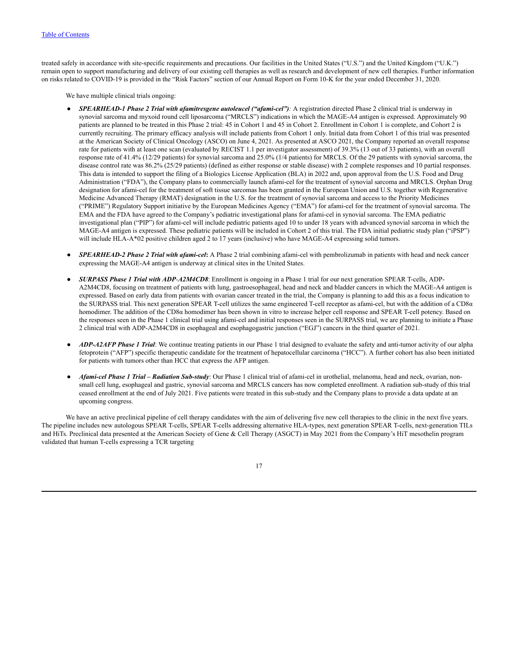treated safely in accordance with site-specific requirements and precautions. Our facilities in the United States ("U.S.") and the United Kingdom ("U.K.") remain open to support manufacturing and delivery of our existing cell therapies as well as research and development of new cell therapies. Further information on risks related to COVID-19 is provided in the "Risk Factors" section of our Annual Report on Form 10-K for the year ended December 31, 2020.

We have multiple clinical trials ongoing:

- *SPEARHEAD-1 Phase 2 Trial with afamitresgene autoleucel ("afami-cel"):* A registration directed Phase 2 clinical trial is underway in synovial sarcoma and myxoid round cell liposarcoma ("MRCLS") indications in which the MAGE-A4 antigen is expressed. Approximately 90 patients are planned to be treated in this Phase 2 trial: 45 in Cohort 1 and 45 in Cohort 2. Enrollment in Cohort 1 is complete, and Cohort 2 is currently recruiting. The primary efficacy analysis will include patients from Cohort 1 only. Initial data from Cohort 1 of this trial was presented at the American Society of Clinical Oncology (ASCO) on June 4, 2021. As presented at ASCO 2021, the Company reported an overall response rate for patients with at least one scan (evaluated by RECIST 1.1 per investigator assessment) of 39.3% (13 out of 33 patients), with an overall response rate of 41.4% (12/29 patients) for synovial sarcoma and 25.0% (1/4 patients) for MRCLS. Of the 29 patients with synovial sarcoma, the disease control rate was 86.2% (25/29 patients) (defined as either response or stable disease) with 2 complete responses and 10 partial responses. This data is intended to support the filing of a Biologics License Application (BLA) in 2022 and, upon approval from the U.S. Food and Drug Administration ("FDA"), the Company plans to commercially launch afami-cel for the treatment of synovial sarcoma and MRCLS. Orphan Drug designation for afami-cel for the treatment of soft tissue sarcomas has been granted in the European Union and U.S. together with Regenerative Medicine Advanced Therapy (RMAT) designation in the U.S. for the treatment of synovial sarcoma and access to the Priority Medicines ("PRIME") Regulatory Support initiative by the European Medicines Agency ("EMA") for afami-cel for the treatment of synovial sarcoma. The EMA and the FDA have agreed to the Company's pediatric investigational plans for afami-cel in synovial sarcoma. The EMA pediatric investigational plan ("PIP") for afami-cel will include pediatric patients aged 10 to under 18 years with advanced synovial sarcoma in which the MAGE-A4 antigen is expressed. These pediatric patients will be included in Cohort 2 of this trial. The FDA initial pediatric study plan ("iPSP") will include HLA-A\*02 positive children aged 2 to 17 years (inclusive) who have MAGE-A4 expressing solid tumors.
- *SPEARHEAD-2 Phase 2 Trial with afami-cel***:** A Phase 2 trial combining afami-cel with pembrolizumab in patients with head and neck cancer expressing the MAGE-A4 antigen is underway at clinical sites in the United States.
- *SURPASS Phase 1 Trial with ADP-A2M4CD8*: Enrollment is ongoing in a Phase 1 trial for our next generation SPEAR T-cells, ADP-A2M4CD8, focusing on treatment of patients with lung, gastroesophageal, head and neck and bladder cancers in which the MAGE-A4 antigen is expressed. Based on early data from patients with ovarian cancer treated in the trial, the Company is planning to add this as a focus indication to the SURPASS trial. This next generation SPEAR T-cell utilizes the same engineered T-cell receptor as afami-cel, but with the addition of a CD8α homodimer. The addition of the CD8α homodimer has been shown in vitro to increase helper cell response and SPEAR T-cell potency. Based on the responses seen in the Phase 1 clinical trial using afami-cel and initial responses seen in the SURPASS trial, we are planning to initiate a Phase 2 clinical trial with ADP-A2M4CD8 in esophageal and esophagogastric junction ("EGJ") cancers in the third quarter of 2021.
- *ADP-A2AFP Phase 1 Trial*: We continue treating patients in our Phase 1 trial designed to evaluate the safety and anti-tumor activity of our alpha fetoprotein ("AFP") specific therapeutic candidate for the treatment of hepatocellular carcinoma ("HCC"). A further cohort has also been initiated for patients with tumors other than HCC that express the AFP antigen.
- *Afami-cel Phase 1 Trial – Radiation Sub-study*: Our Phase 1 clinical trial of afami-cel in urothelial, melanoma, head and neck, ovarian, nonsmall cell lung, esophageal and gastric, synovial sarcoma and MRCLS cancers has now completed enrollment. A radiation sub-study of this trial ceased enrollment at the end of July 2021. Five patients were treated in this sub-study and the Company plans to provide a data update at an upcoming congress.

We have an active preclinical pipeline of cell therapy candidates with the aim of delivering five new cell therapies to the clinic in the next five years. The pipeline includes new autologous SPEAR T-cells, SPEAR T-cells addressing alternative HLA-types, next generation SPEAR T-cells, next-generation TILs and HiTs. Preclinical data presented at the American Society of Gene & Cell Therapy (ASGCT) in May 2021 from the Company's HiT mesothelin program validated that human T-cells expressing a TCR targeting

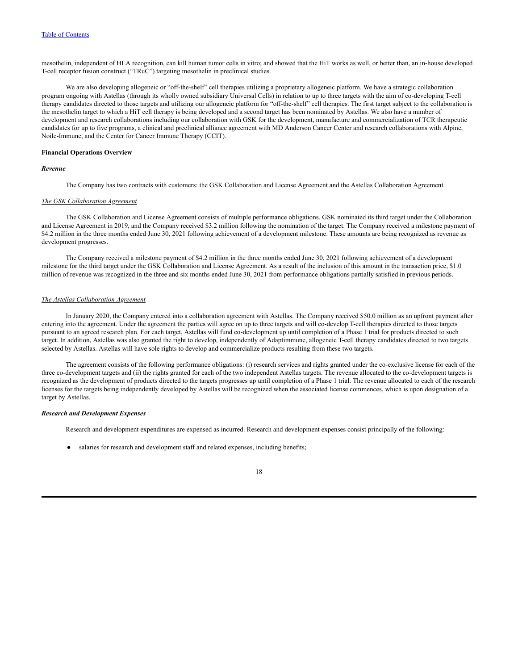mesothelin, independent of HLA recognition, can kill human tumor cells in vitro; and showed that the HiT works as well, or better than, an in-house developed T-cell receptor fusion construct ("TRuC") targeting mesothelin in preclinical studies.

We are also developing allogeneic or "off-the-shelf" cell therapies utilizing a proprietary allogeneic platform. We have a strategic collaboration program ongoing with Astellas (through its wholly owned subsidiary Universal Cells) in relation to up to three targets with the aim of co-developing T-cell therapy candidates directed to those targets and utilizing our allogeneic platform for "off-the-shelf" cell therapies. The first target subject to the collaboration is the mesothelin target to which a HiT cell therapy is being developed and a second target has been nominated by Astellas. We also have a number of development and research collaborations including our collaboration with GSK for the development, manufacture and commercialization of TCR therapeutic candidates for up to five programs, a clinical and preclinical alliance agreement with MD Anderson Cancer Center and research collaborations with Alpine, Noile-Immune, and the Center for Cancer Immune Therapy (CCIT).

#### **Financial Operations Overview**

### *Revenue*

The Company has two contracts with customers: the GSK Collaboration and License Agreement and the Astellas Collaboration Agreement.

#### *The GSK Collaboration Agreement*

The GSK Collaboration and License Agreement consists of multiple performance obligations. GSK nominated its third target under the Collaboration and License Agreement in 2019, and the Company received \$3.2 million following the nomination of the target. The Company received a milestone payment of \$4.2 million in the three months ended June 30, 2021 following achievement of a development milestone. These amounts are being recognized as revenue as development progresses.

The Company received a milestone payment of \$4.2 million in the three months ended June 30, 2021 following achievement of a development milestone for the third target under the GSK Collaboration and License Agreement. As a result of the inclusion of this amount in the transaction price, \$1.0 million of revenue was recognized in the three and six months ended June 30, 2021 from performance obligations partially satisfied in previous periods.

#### *The Astellas Collaboration Agreement*

In January 2020, the Company entered into a collaboration agreement with Astellas. The Company received \$50.0 million as an upfront payment after entering into the agreement. Under the agreement the parties will agree on up to three targets and will co-develop T-cell therapies directed to those targets pursuant to an agreed research plan. For each target, Astellas will fund co-development up until completion of a Phase 1 trial for products directed to such target. In addition, Astellas was also granted the right to develop, independently of Adaptimmune, allogeneic T-cell therapy candidates directed to two targets selected by Astellas. Astellas will have sole rights to develop and commercialize products resulting from these two targets.

The agreement consists of the following performance obligations: (i) research services and rights granted under the co-exclusive license for each of the three co-development targets and (ii) the rights granted for each of the two independent Astellas targets. The revenue allocated to the co-development targets is recognized as the development of products directed to the targets progresses up until completion of a Phase 1 trial. The revenue allocated to each of the research licenses for the targets being independently developed by Astellas will be recognized when the associated license commences, which is upon designation of a target by Astellas.

#### *Research and Development Expenses*

Research and development expenditures are expensed as incurred. Research and development expenses consist principally of the following:

salaries for research and development staff and related expenses, including benefits;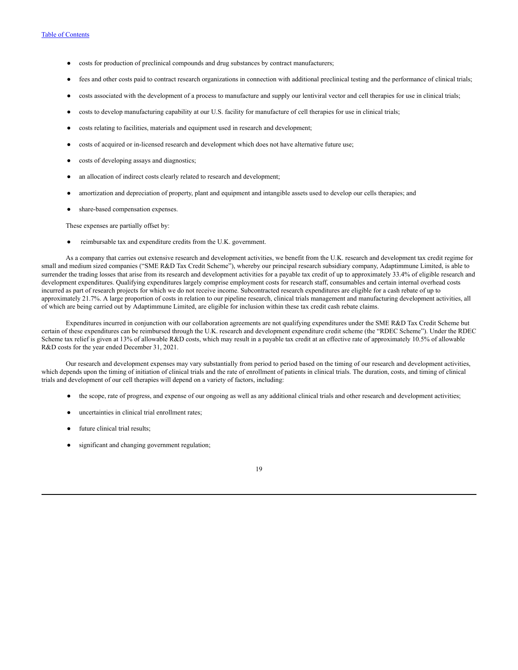- costs for production of preclinical compounds and drug substances by contract manufacturers;
- fees and other costs paid to contract research organizations in connection with additional preclinical testing and the performance of clinical trials;
- costs associated with the development of a process to manufacture and supply our lentiviral vector and cell therapies for use in clinical trials;
- costs to develop manufacturing capability at our U.S. facility for manufacture of cell therapies for use in clinical trials;
- costs relating to facilities, materials and equipment used in research and development;
- costs of acquired or in-licensed research and development which does not have alternative future use;
- costs of developing assays and diagnostics;
- an allocation of indirect costs clearly related to research and development;
- amortization and depreciation of property, plant and equipment and intangible assets used to develop our cells therapies; and
- share-based compensation expenses.

These expenses are partially offset by:

reimbursable tax and expenditure credits from the U.K. government.

As a company that carries out extensive research and development activities, we benefit from the U.K. research and development tax credit regime for small and medium sized companies ("SME R&D Tax Credit Scheme"), whereby our principal research subsidiary company, Adaptimmune Limited, is able to surrender the trading losses that arise from its research and development activities for a payable tax credit of up to approximately 33.4% of eligible research and development expenditures. Qualifying expenditures largely comprise employment costs for research staff, consumables and certain internal overhead costs incurred as part of research projects for which we do not receive income. Subcontracted research expenditures are eligible for a cash rebate of up to approximately 21.7%. A large proportion of costs in relation to our pipeline research, clinical trials management and manufacturing development activities, all of which are being carried out by Adaptimmune Limited, are eligible for inclusion within these tax credit cash rebate claims.

Expenditures incurred in conjunction with our collaboration agreements are not qualifying expenditures under the SME R&D Tax Credit Scheme but certain of these expenditures can be reimbursed through the U.K. research and development expenditure credit scheme (the "RDEC Scheme"). Under the RDEC Scheme tax relief is given at 13% of allowable R&D costs, which may result in a payable tax credit at an effective rate of approximately 10.5% of allowable R&D costs for the year ended December 31, 2021.

Our research and development expenses may vary substantially from period to period based on the timing of our research and development activities, which depends upon the timing of initiation of clinical trials and the rate of enrollment of patients in clinical trials. The duration, costs, and timing of clinical trials and development of our cell therapies will depend on a variety of factors, including:

- the scope, rate of progress, and expense of our ongoing as well as any additional clinical trials and other research and development activities;
- uncertainties in clinical trial enrollment rates;
- future clinical trial results;
- significant and changing government regulation;

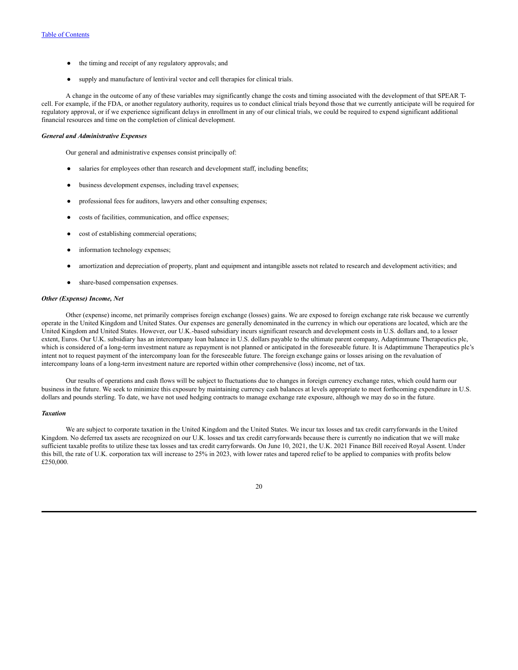- the timing and receipt of any regulatory approvals; and
- supply and manufacture of lentiviral vector and cell therapies for clinical trials.

A change in the outcome of any of these variables may significantly change the costs and timing associated with the development of that SPEAR Tcell. For example, if the FDA, or another regulatory authority, requires us to conduct clinical trials beyond those that we currently anticipate will be required for regulatory approval, or if we experience significant delays in enrollment in any of our clinical trials, we could be required to expend significant additional financial resources and time on the completion of clinical development.

### *General and Administrative Expenses*

Our general and administrative expenses consist principally of:

- salaries for employees other than research and development staff, including benefits;
- business development expenses, including travel expenses;
- professional fees for auditors, lawyers and other consulting expenses;
- costs of facilities, communication, and office expenses;
- cost of establishing commercial operations;
- information technology expenses;
- amortization and depreciation of property, plant and equipment and intangible assets not related to research and development activities; and
- share-based compensation expenses.

#### *Other (Expense) Income, Net*

Other (expense) income, net primarily comprises foreign exchange (losses) gains. We are exposed to foreign exchange rate risk because we currently operate in the United Kingdom and United States. Our expenses are generally denominated in the currency in which our operations are located, which are the United Kingdom and United States. However, our U.K.-based subsidiary incurs significant research and development costs in U.S. dollars and, to a lesser extent, Euros. Our U.K. subsidiary has an intercompany loan balance in U.S. dollars payable to the ultimate parent company, Adaptimmune Therapeutics plc, which is considered of a long-term investment nature as repayment is not planned or anticipated in the foreseeable future. It is Adaptimmune Therapeutics plc's intent not to request payment of the intercompany loan for the foreseeable future. The foreign exchange gains or losses arising on the revaluation of intercompany loans of a long-term investment nature are reported within other comprehensive (loss) income, net of tax.

Our results of operations and cash flows will be subject to fluctuations due to changes in foreign currency exchange rates, which could harm our business in the future. We seek to minimize this exposure by maintaining currency cash balances at levels appropriate to meet forthcoming expenditure in U.S. dollars and pounds sterling. To date, we have not used hedging contracts to manage exchange rate exposure, although we may do so in the future.

#### *Taxation*

We are subject to corporate taxation in the United Kingdom and the United States. We incur tax losses and tax credit carryforwards in the United Kingdom. No deferred tax assets are recognized on our U.K. losses and tax credit carryforwards because there is currently no indication that we will make sufficient taxable profits to utilize these tax losses and tax credit carryforwards. On June 10, 2021, the U.K. 2021 Finance Bill received Royal Assent. Under this bill, the rate of U.K. corporation tax will increase to 25% in 2023, with lower rates and tapered relief to be applied to companies with profits below £250,000.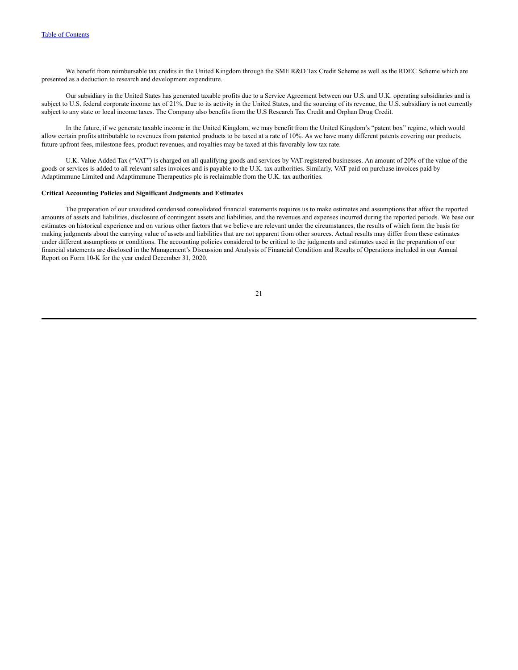We benefit from reimbursable tax credits in the United Kingdom through the SME R&D Tax Credit Scheme as well as the RDEC Scheme which are presented as a deduction to research and development expenditure.

Our subsidiary in the United States has generated taxable profits due to a Service Agreement between our U.S. and U.K. operating subsidiaries and is subject to U.S. federal corporate income tax of 21%. Due to its activity in the United States, and the sourcing of its revenue, the U.S. subsidiary is not currently subject to any state or local income taxes. The Company also benefits from the U.S Research Tax Credit and Orphan Drug Credit.

In the future, if we generate taxable income in the United Kingdom, we may benefit from the United Kingdom's "patent box" regime, which would allow certain profits attributable to revenues from patented products to be taxed at a rate of 10%. As we have many different patents covering our products, future upfront fees, milestone fees, product revenues, and royalties may be taxed at this favorably low tax rate.

U.K. Value Added Tax ("VAT") is charged on all qualifying goods and services by VAT-registered businesses. An amount of 20% of the value of the goods or services is added to all relevant sales invoices and is payable to the U.K. tax authorities. Similarly, VAT paid on purchase invoices paid by Adaptimmune Limited and Adaptimmune Therapeutics plc is reclaimable from the U.K. tax authorities.

#### **Critical Accounting Policies and Significant Judgments and Estimates**

The preparation of our unaudited condensed consolidated financial statements requires us to make estimates and assumptions that affect the reported amounts of assets and liabilities, disclosure of contingent assets and liabilities, and the revenues and expenses incurred during the reported periods. We base our estimates on historical experience and on various other factors that we believe are relevant under the circumstances, the results of which form the basis for making judgments about the carrying value of assets and liabilities that are not apparent from other sources. Actual results may differ from these estimates under different assumptions or conditions. The accounting policies considered to be critical to the judgments and estimates used in the preparation of our financial statements are disclosed in the Management's Discussion and Analysis of Financial Condition and Results of Operations included in our Annual Report on Form 10-K for the year ended December 31, 2020.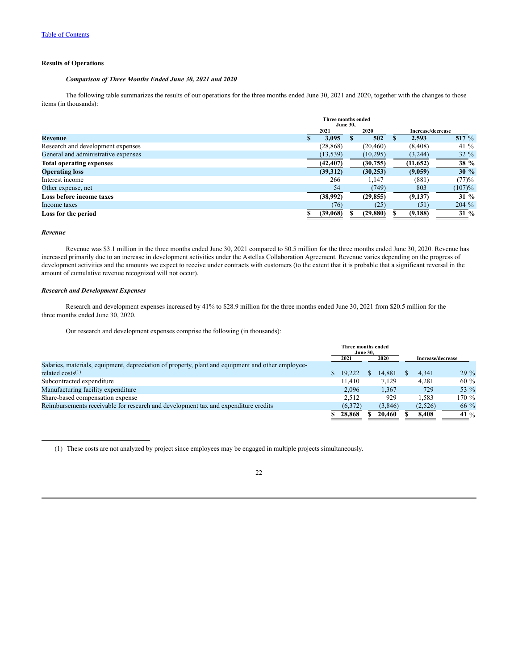## **Results of Operations**

### *Comparison of Three Months Ended June 30, 2021 and 2020*

The following table summarizes the results of our operations for the three months ended June 30, 2021 and 2020, together with the changes to those items (in thousands):

|                                     | Three months ended<br><b>June 30.</b> |           |                   |         |
|-------------------------------------|---------------------------------------|-----------|-------------------|---------|
|                                     | 2021                                  | 2020      | Increase/decrease |         |
| Revenue                             | 3,095                                 | 502       | 2,593             | 517 %   |
| Research and development expenses   | (28, 868)                             | (20, 460) | (8, 408)          | 41 $%$  |
| General and administrative expenses | (13, 539)                             | (10,295)  | (3,244)           | $32 \%$ |
| <b>Total operating expenses</b>     | (42, 407)                             | (30,755)  | (11,652)          | 38 %    |
| <b>Operating loss</b>               | (39,312)                              | (30, 253) | (9,059)           | 30%     |
| Interest income                     | 266                                   | 1.147     | (881)             | (77)%   |
| Other expense, net                  | 54                                    | (749)     | 803               | (107)%  |
| Loss before income taxes            | (38,992)                              | (29, 855) | (9,137)           | $31\%$  |
| Income taxes                        | (76)                                  | (25)      | (51)              | 204 %   |
| Loss for the period                 | (39,068)                              | (29, 880) | (9, 188)          | $31\%$  |

#### *Revenue*

Revenue was \$3.1 million in the three months ended June 30, 2021 compared to \$0.5 million for the three months ended June 30, 2020. Revenue has increased primarily due to an increase in development activities under the Astellas Collaboration Agreement. Revenue varies depending on the progress of development activities and the amounts we expect to receive under contracts with customers (to the extent that it is probable that a significant reversal in the amount of cumulative revenue recognized will not occur).

### *Research and Development Expenses*

Research and development expenses increased by 41% to \$28.9 million for the three months ended June 30, 2021 from \$20.5 million for the three months ended June 30, 2020.

Our research and development expenses comprise the following (in thousands):

|                                                                                                   | <b>Three months ended</b> | <b>June 30.</b> |         |                   |         |
|---------------------------------------------------------------------------------------------------|---------------------------|-----------------|---------|-------------------|---------|
|                                                                                                   | 2021                      |                 | 2020    | Increase/decrease |         |
| Salaries, materials, equipment, depreciation of property, plant and equipment and other employee- |                           |                 |         |                   |         |
| related $costs^{(1)}$                                                                             | \$19.222                  |                 | 14.881  | 4.341             | $29\%$  |
| Subcontracted expenditure                                                                         | 11.410                    |                 | 7.129   | 4.281             | $60 \%$ |
| Manufacturing facility expenditure                                                                | 2,096                     |                 | 1,367   | 729               | 53 %    |
| Share-based compensation expense                                                                  | 2.512                     |                 | 929     | 1.583             | $170\%$ |
| Reimbursements receivable for research and development tax and expenditure credits                | (6,372)                   |                 | (3,846) | (2,526)           | $66\%$  |
|                                                                                                   | 28,868                    |                 | 20.460  | 8.408             | 41 %    |

(1) These costs are not analyzed by project since employees may be engaged in multiple projects simultaneously.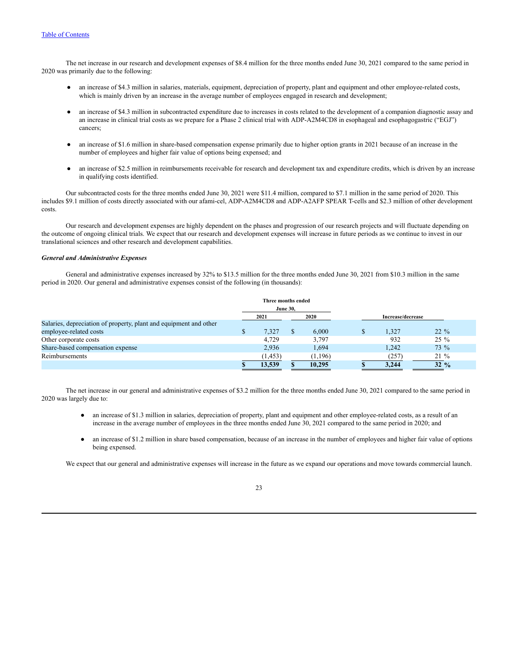The net increase in our research and development expenses of \$8.4 million for the three months ended June 30, 2021 compared to the same period in 2020 was primarily due to the following:

- an increase of \$4.3 million in salaries, materials, equipment, depreciation of property, plant and equipment and other employee-related costs, which is mainly driven by an increase in the average number of employees engaged in research and development;
- an increase of \$4.3 million in subcontracted expenditure due to increases in costs related to the development of a companion diagnostic assay and an increase in clinical trial costs as we prepare for a Phase 2 clinical trial with ADP-A2M4CD8 in esophageal and esophagogastric ("EGJ") cancers;
- an increase of \$1.6 million in share-based compensation expense primarily due to higher option grants in 2021 because of an increase in the number of employees and higher fair value of options being expensed; and
- an increase of \$2.5 million in reimbursements receivable for research and development tax and expenditure credits, which is driven by an increase in qualifying costs identified.

Our subcontracted costs for the three months ended June 30, 2021 were \$11.4 million, compared to \$7.1 million in the same period of 2020. This includes \$9.1 million of costs directly associated with our afami-cel, ADP-A2M4CD8 and ADP-A2AFP SPEAR T-cells and \$2.3 million of other development costs.

Our research and development expenses are highly dependent on the phases and progression of our research projects and will fluctuate depending on the outcome of ongoing clinical trials. We expect that our research and development expenses will increase in future periods as we continue to invest in our translational sciences and other research and development capabilities.

#### *General and Administrative Expenses*

General and administrative expenses increased by 32% to \$13.5 million for the three months ended June 30, 2021 from \$10.3 million in the same period in 2020. Our general and administrative expenses consist of the following (in thousands):

|                                                                   | Three months ended<br><b>June 30,</b> |         |                   |                 |
|-------------------------------------------------------------------|---------------------------------------|---------|-------------------|-----------------|
|                                                                   | 2021                                  | 2020    | Increase/decrease |                 |
| Salaries, depreciation of property, plant and equipment and other |                                       |         |                   |                 |
| employee-related costs                                            | 7,327                                 | 6.000   | 1,327             | $22\%$          |
| Other corporate costs                                             | 4.729                                 | 3,797   | 932               | $25\%$          |
| Share-based compensation expense                                  | 2,936                                 | 1,694   | 1.242             | 73 %            |
| Reimbursements                                                    | (1, 453)                              | (1,196) | (257)             | 21 %            |
|                                                                   | 13.539                                | 10.295  | 3.244             | $32\frac{9}{6}$ |

The net increase in our general and administrative expenses of \$3.2 million for the three months ended June 30, 2021 compared to the same period in 2020 was largely due to:

- an increase of \$1.3 million in salaries, depreciation of property, plant and equipment and other employee-related costs, as a result of an increase in the average number of employees in the three months ended June 30, 2021 compared to the same period in 2020; and
- an increase of \$1.2 million in share based compensation, because of an increase in the number of employees and higher fair value of options being expensed.

We expect that our general and administrative expenses will increase in the future as we expand our operations and move towards commercial launch.

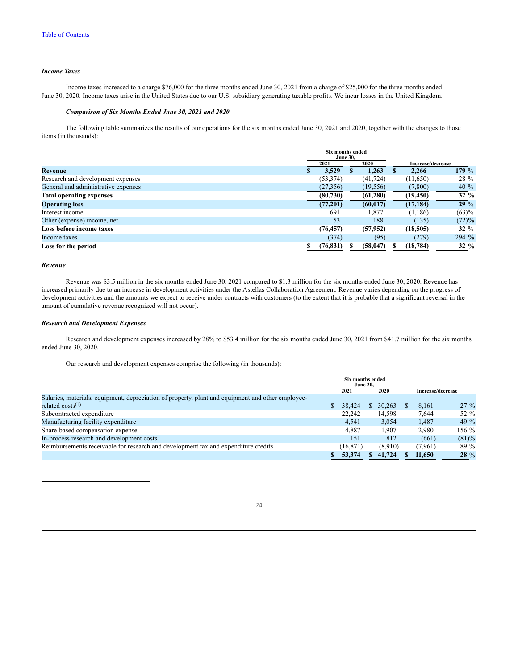#### *Income Taxes*

Income taxes increased to a charge \$76,000 for the three months ended June 30, 2021 from a charge of \$25,000 for the three months ended June 30, 2020. Income taxes arise in the United States due to our U.S. subsidiary generating taxable profits. We incur losses in the United Kingdom.

### *Comparison of Six Months Ended June 30, 2021 and 2020*

The following table summarizes the results of our operations for the six months ended June 30, 2021 and 2020, together with the changes to those items (in thousands):

|                                     | Six months ended<br><b>June 30.</b> |           |                   |                 |
|-------------------------------------|-------------------------------------|-----------|-------------------|-----------------|
|                                     | 2021                                | 2020      | Increase/decrease |                 |
| Revenue                             | 3,529                               | 1.263     | 2.266             | 179 $%$         |
| Research and development expenses   | (53, 374)                           | (41, 724) | (11,650)          | 28 %            |
| General and administrative expenses | (27, 356)                           | (19, 556) | (7,800)           | 40 $%$          |
| <b>Total operating expenses</b>     | (80, 730)                           | (61, 280) | (19, 450)         | $32 \%$         |
| <b>Operating loss</b>               | (77,201)                            | (60, 017) | (17, 184)         | 29%             |
| Interest income                     | 691                                 | 1,877     | (1,186)           | (63)%           |
| Other (expense) income, net         | 53                                  | 188       | (135)             | (72)%           |
| Loss before income taxes            | (76, 457)                           | (57, 952) | (18, 505)         | $32\%$          |
| Income taxes                        | (374)                               | (95)      | (279)             | $294 \%$        |
| Loss for the period                 | (76, 831)                           | (58, 047) | (18, 784)         | $32\frac{9}{6}$ |

#### *Revenue*

Revenue was \$3.5 million in the six months ended June 30, 2021 compared to \$1.3 million for the six months ended June 30, 2020. Revenue has increased primarily due to an increase in development activities under the Astellas Collaboration Agreement. Revenue varies depending on the progress of development activities and the amounts we expect to receive under contracts with customers (to the extent that it is probable that a significant reversal in the amount of cumulative revenue recognized will not occur).

#### *Research and Development Expenses*

Research and development expenses increased by 28% to \$53.4 million for the six months ended June 30, 2021 from \$41.7 million for the six months ended June 30, 2020.

Our research and development expenses comprise the following (in thousands):

|                                                                                                   | <b>Six months ended</b><br><b>June 30.</b> |         |                   |         |
|---------------------------------------------------------------------------------------------------|--------------------------------------------|---------|-------------------|---------|
|                                                                                                   | 2021                                       | 2020    | Increase/decrease |         |
| Salaries, materials, equipment, depreciation of property, plant and equipment and other employee- |                                            |         |                   |         |
| related $costs^{(1)}$                                                                             | 38,424                                     | 30.263  | 8,161             | $27\%$  |
| Subcontracted expenditure                                                                         | 22,242                                     | 14,598  | 7.644             | 52 %    |
| Manufacturing facility expenditure                                                                | 4,541                                      | 3,054   | 1,487             | 49 $\%$ |
| Share-based compensation expense                                                                  | 4,887                                      | 1.907   | 2.980             | 156 $%$ |
| In-process research and development costs                                                         | 151                                        | 812     | (661)             | (81)%   |
| Reimbursements receivable for research and development tax and expenditure credits                | (16, 871)                                  | (8.910) | (7,961)           | 89 %    |
|                                                                                                   | 53,374                                     | 41,724  | 11.650            | $28 \%$ |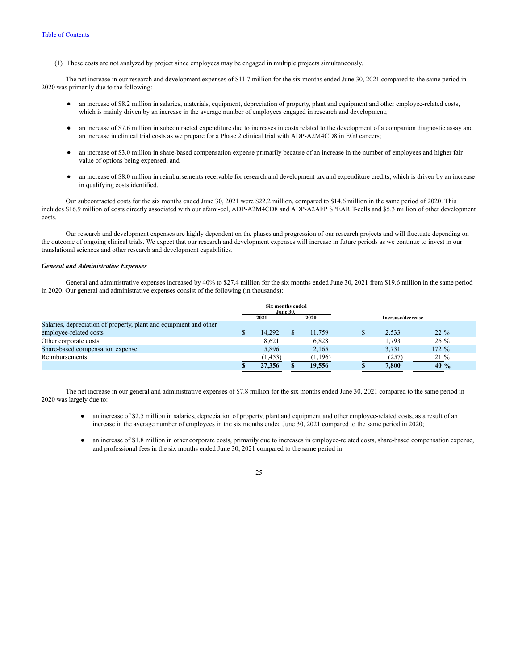(1) These costs are not analyzed by project since employees may be engaged in multiple projects simultaneously.

The net increase in our research and development expenses of \$11.7 million for the six months ended June 30, 2021 compared to the same period in 2020 was primarily due to the following:

- an increase of \$8.2 million in salaries, materials, equipment, depreciation of property, plant and equipment and other employee-related costs, which is mainly driven by an increase in the average number of employees engaged in research and development;
- an increase of \$7.6 million in subcontracted expenditure due to increases in costs related to the development of a companion diagnostic assay and an increase in clinical trial costs as we prepare for a Phase 2 clinical trial with ADP-A2M4CD8 in EGJ cancers;
- an increase of \$3.0 million in share-based compensation expense primarily because of an increase in the number of employees and higher fair value of options being expensed; and
- an increase of \$8.0 million in reimbursements receivable for research and development tax and expenditure credits, which is driven by an increase in qualifying costs identified.

Our subcontracted costs for the six months ended June 30, 2021 were \$22.2 million, compared to \$14.6 million in the same period of 2020. This includes \$16.9 million of costs directly associated with our afami-cel, ADP-A2M4CD8 and ADP-A2AFP SPEAR T-cells and \$5.3 million of other development costs.

Our research and development expenses are highly dependent on the phases and progression of our research projects and will fluctuate depending on the outcome of ongoing clinical trials. We expect that our research and development expenses will increase in future periods as we continue to invest in our translational sciences and other research and development capabilities.

### *General and Administrative Expenses*

General and administrative expenses increased by 40% to \$27.4 million for the six months ended June 30, 2021 from \$19.6 million in the same period in 2020. Our general and administrative expenses consist of the following (in thousands):

|                                                                   | Six months ended<br><b>June 30.</b> |         |                   |          |
|-------------------------------------------------------------------|-------------------------------------|---------|-------------------|----------|
|                                                                   | 2021                                | 2020    | Increase/decrease |          |
| Salaries, depreciation of property, plant and equipment and other |                                     |         |                   |          |
| employee-related costs                                            | 14.292                              | 11.759  | 2.533             | $22\%$   |
| Other corporate costs                                             | 8,621                               | 6,828   | 1.793             | $26\%$   |
| Share-based compensation expense                                  | 5,896                               | 2,165   | 3,731             | $172 \%$ |
| Reimbursements                                                    | (1, 453)                            | (1,196) | (257)             | $21\%$   |
|                                                                   | 27,356                              | 19.556  | 7.800             | 40%      |

The net increase in our general and administrative expenses of \$7.8 million for the six months ended June 30, 2021 compared to the same period in 2020 was largely due to:

- an increase of \$2.5 million in salaries, depreciation of property, plant and equipment and other employee-related costs, as a result of an increase in the average number of employees in the six months ended June 30, 2021 compared to the same period in 2020;
- an increase of \$1.8 million in other corporate costs, primarily due to increases in employee-related costs, share-based compensation expense, and professional fees in the six months ended June 30, 2021 compared to the same period in

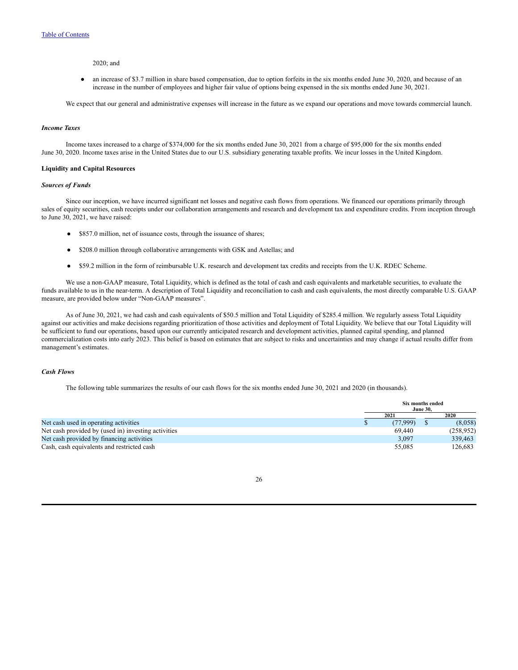#### 2020; and

● an increase of \$3.7 million in share based compensation, due to option forfeits in the six months ended June 30, 2020, and because of an increase in the number of employees and higher fair value of options being expensed in the six months ended June 30, 2021.

We expect that our general and administrative expenses will increase in the future as we expand our operations and move towards commercial launch.

#### *Income Taxes*

Income taxes increased to a charge of \$374,000 for the six months ended June 30, 2021 from a charge of \$95,000 for the six months ended June 30, 2020. Income taxes arise in the United States due to our U.S. subsidiary generating taxable profits. We incur losses in the United Kingdom.

#### **Liquidity and Capital Resources**

#### *Sources of Funds*

Since our inception, we have incurred significant net losses and negative cash flows from operations. We financed our operations primarily through sales of equity securities, cash receipts under our collaboration arrangements and research and development tax and expenditure credits. From inception through to June 30, 2021, we have raised:

- \$857.0 million, net of issuance costs, through the issuance of shares;
- \$208.0 million through collaborative arrangements with GSK and Astellas; and
- \$59.2 million in the form of reimbursable U.K. research and development tax credits and receipts from the U.K. RDEC Scheme.

We use a non-GAAP measure, Total Liquidity, which is defined as the total of cash and cash equivalents and marketable securities, to evaluate the funds available to us in the near-term. A description of Total Liquidity and reconciliation to cash and cash equivalents, the most directly comparable U.S. GAAP measure, are provided below under "Non-GAAP measures".

As of June 30, 2021, we had cash and cash equivalents of \$50.5 million and Total Liquidity of \$285.4 million. We regularly assess Total Liquidity against our activities and make decisions regarding prioritization of those activities and deployment of Total Liquidity. We believe that our Total Liquidity will be sufficient to fund our operations, based upon our currently anticipated research and development activities, planned capital spending, and planned commercialization costs into early 2023. This belief is based on estimates that are subject to risks and uncertainties and may change if actual results differ from management's estimates.

### *Cash Flows*

The following table summarizes the results of our cash flows for the six months ended June 30, 2021 and 2020 (in thousands).

|                                                     | Six months ended<br><b>June 30.</b> |          |  |            |
|-----------------------------------------------------|-------------------------------------|----------|--|------------|
|                                                     |                                     | 2021     |  | 2020       |
| Net cash used in operating activities               |                                     | (77.999) |  | (8,058)    |
| Net cash provided by (used in) investing activities |                                     | 69.440   |  | (258, 952) |
| Net cash provided by financing activities           |                                     | 3,097    |  | 339,463    |
| Cash, cash equivalents and restricted cash          |                                     | 55,085   |  | 126.683    |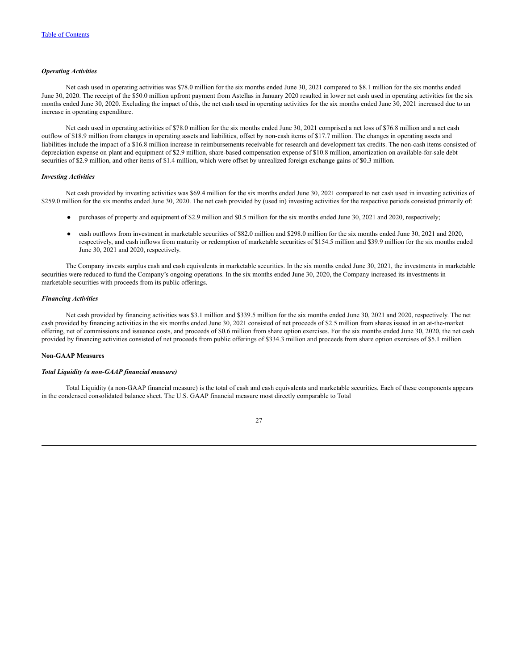#### *Operating Activities*

Net cash used in operating activities was \$78.0 million for the six months ended June 30, 2021 compared to \$8.1 million for the six months ended June 30, 2020. The receipt of the \$50.0 million upfront payment from Astellas in January 2020 resulted in lower net cash used in operating activities for the six months ended June 30, 2020. Excluding the impact of this, the net cash used in operating activities for the six months ended June 30, 2021 increased due to an increase in operating expenditure.

Net cash used in operating activities of \$78.0 million for the six months ended June 30, 2021 comprised a net loss of \$76.8 million and a net cash outflow of \$18.9 million from changes in operating assets and liabilities, offset by non-cash items of \$17.7 million. The changes in operating assets and liabilities include the impact of a \$16.8 million increase in reimbursements receivable for research and development tax credits. The non-cash items consisted of depreciation expense on plant and equipment of \$2.9 million, share-based compensation expense of \$10.8 million, amortization on available-for-sale debt securities of \$2.9 million, and other items of \$1.4 million, which were offset by unrealized foreign exchange gains of \$0.3 million.

#### *Investing Activities*

Net cash provided by investing activities was \$69.4 million for the six months ended June 30, 2021 compared to net cash used in investing activities of \$259.0 million for the six months ended June 30, 2020. The net cash provided by (used in) investing activities for the respective periods consisted primarily of:

- purchases of property and equipment of \$2.9 million and \$0.5 million for the six months ended June 30, 2021 and 2020, respectively;
- cash outflows from investment in marketable securities of \$82.0 million and \$298.0 million for the six months ended June 30, 2021 and 2020, respectively, and cash inflows from maturity or redemption of marketable securities of \$154.5 million and \$39.9 million for the six months ended June 30, 2021 and 2020, respectively.

The Company invests surplus cash and cash equivalents in marketable securities. In the six months ended June 30, 2021, the investments in marketable securities were reduced to fund the Company's ongoing operations. In the six months ended June 30, 2020, the Company increased its investments in marketable securities with proceeds from its public offerings.

#### *Financing Activities*

Net cash provided by financing activities was \$3.1 million and \$339.5 million for the six months ended June 30, 2021 and 2020, respectively. The net cash provided by financing activities in the six months ended June 30, 2021 consisted of net proceeds of \$2.5 million from shares issued in an at-the-market offering, net of commissions and issuance costs, and proceeds of \$0.6 million from share option exercises. For the six months ended June 30, 2020, the net cash provided by financing activities consisted of net proceeds from public offerings of \$334.3 million and proceeds from share option exercises of \$5.1 million.

#### **Non-GAAP Measures**

#### *Total Liquidity (a non-GAAP financial measure)*

Total Liquidity (a non-GAAP financial measure) is the total of cash and cash equivalents and marketable securities. Each of these components appears in the condensed consolidated balance sheet. The U.S. GAAP financial measure most directly comparable to Total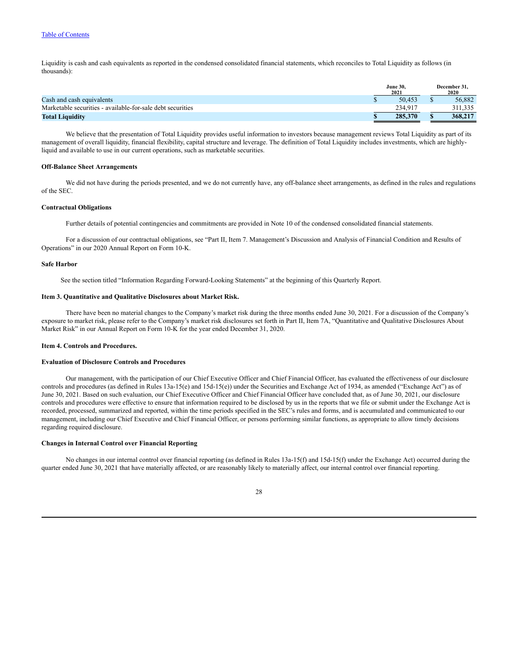Liquidity is cash and cash equivalents as reported in the condensed consolidated financial statements, which reconciles to Total Liquidity as follows (in thousands):

|                                                            | <b>June 30,</b><br>2021 | December 31.<br>2020 |
|------------------------------------------------------------|-------------------------|----------------------|
| Cash and cash equivalents                                  | 50.453                  | 56.882               |
| Marketable securities - available-for-sale debt securities | 234,917                 | 311,335              |
| <b>Total Liquidity</b>                                     | 285,370                 | 368,217              |

We believe that the presentation of Total Liquidity provides useful information to investors because management reviews Total Liquidity as part of its management of overall liquidity, financial flexibility, capital structure and leverage. The definition of Total Liquidity includes investments, which are highlyliquid and available to use in our current operations, such as marketable securities.

#### **Off-Balance Sheet Arrangements**

We did not have during the periods presented, and we do not currently have, any off-balance sheet arrangements, as defined in the rules and regulations of the SEC.

#### **Contractual Obligations**

Further details of potential contingencies and commitments are provided in Note 10 of the condensed consolidated financial statements.

For a discussion of our contractual obligations, see "Part II, Item 7. Management's Discussion and Analysis of Financial Condition and Results of Operations" in our 2020 Annual Report on Form 10-K.

## **Safe Harbor**

See the section titled "Information Regarding Forward-Looking Statements" at the beginning of this Quarterly Report.

#### <span id="page-27-0"></span>**Item 3. Quantitative and Qualitative Disclosures about Market Risk.**

There have been no material changes to the Company's market risk during the three months ended June 30, 2021. For a discussion of the Company's exposure to market risk, please refer to the Company's market risk disclosures set forth in Part II, Item 7A, "Quantitative and Qualitative Disclosures About Market Risk" in our Annual Report on Form 10-K for the year ended December 31, 2020.

#### <span id="page-27-1"></span>**Item 4. Controls and Procedures.**

## **Evaluation of Disclosure Controls and Procedures**

Our management, with the participation of our Chief Executive Officer and Chief Financial Officer, has evaluated the effectiveness of our disclosure controls and procedures (as defined in Rules 13a-15(e) and 15d-15(e)) under the Securities and Exchange Act of 1934, as amended ("Exchange Act") as of June 30, 2021. Based on such evaluation, our Chief Executive Officer and Chief Financial Officer have concluded that, as of June 30, 2021, our disclosure controls and procedures were effective to ensure that information required to be disclosed by us in the reports that we file or submit under the Exchange Act is recorded, processed, summarized and reported, within the time periods specified in the SEC's rules and forms, and is accumulated and communicated to our management, including our Chief Executive and Chief Financial Officer, or persons performing similar functions, as appropriate to allow timely decisions regarding required disclosure.

### **Changes in Internal Control over Financial Reporting**

No changes in our internal control over financial reporting (as defined in Rules 13a-15(f) and 15d-15(f) under the Exchange Act) occurred during the quarter ended June 30, 2021 that have materially affected, or are reasonably likely to materially affect, our internal control over financial reporting.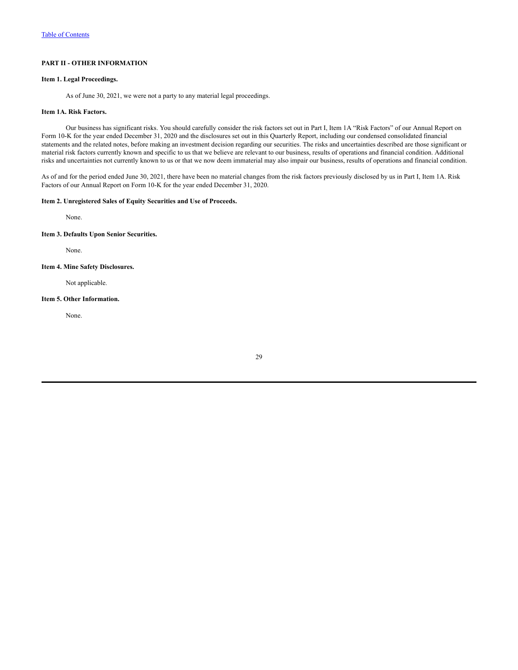## <span id="page-28-0"></span>**PART II - OTHER INFORMATION**

### <span id="page-28-1"></span>**Item 1. Legal Proceedings.**

As of June 30, 2021, we were not a party to any material legal proceedings.

### <span id="page-28-2"></span>**Item 1A. Risk Factors.**

Our business has significant risks. You should carefully consider the risk factors set out in Part I, Item 1A "Risk Factors" of our Annual Report on Form 10-K for the year ended December 31, 2020 and the disclosures set out in this Quarterly Report, including our condensed consolidated financial statements and the related notes, before making an investment decision regarding our securities. The risks and uncertainties described are those significant or material risk factors currently known and specific to us that we believe are relevant to our business, results of operations and financial condition. Additional risks and uncertainties not currently known to us or that we now deem immaterial may also impair our business, results of operations and financial condition.

As of and for the period ended June 30, 2021, there have been no material changes from the risk factors previously disclosed by us in Part I, Item 1A. Risk Factors of our Annual Report on Form 10-K for the year ended December 31, 2020.

### <span id="page-28-3"></span>**Item 2. Unregistered Sales of Equity Securities and Use of Proceeds.**

None.

#### <span id="page-28-4"></span>**Item 3. Defaults Upon Senior Securities.**

None.

### <span id="page-28-5"></span>**Item 4. Mine Safety Disclosures.**

Not applicable.

## <span id="page-28-6"></span>**Item 5. Other Information.**

None.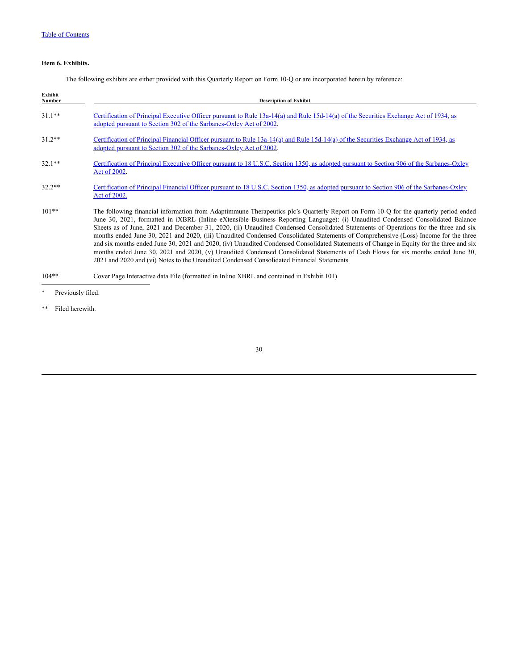## <span id="page-29-0"></span>**Item 6. Exhibits.**

The following exhibits are either provided with this Quarterly Report on Form 10-Q or are incorporated herein by reference:

| Exhibit<br>Number | <b>Description of Exhibit</b>                                                                                                                                                                                                                                                                                                                                                                                                                                                                                                                                                                                                                                                                                                                                                                                                                                                                                                      |
|-------------------|------------------------------------------------------------------------------------------------------------------------------------------------------------------------------------------------------------------------------------------------------------------------------------------------------------------------------------------------------------------------------------------------------------------------------------------------------------------------------------------------------------------------------------------------------------------------------------------------------------------------------------------------------------------------------------------------------------------------------------------------------------------------------------------------------------------------------------------------------------------------------------------------------------------------------------|
| $31.1***$         | Certification of Principal Executive Officer pursuant to Rule 13a-14(a) and Rule 15d-14(a) of the Securities Exchange Act of 1934, as<br>adopted pursuant to Section 302 of the Sarbanes-Oxley Act of 2002.                                                                                                                                                                                                                                                                                                                                                                                                                                                                                                                                                                                                                                                                                                                        |
| $31.2**$          | Certification of Principal Financial Officer pursuant to Rule 13a-14(a) and Rule 15d-14(a) of the Securities Exchange Act of 1934, as<br>adopted pursuant to Section 302 of the Sarbanes-Oxley Act of 2002.                                                                                                                                                                                                                                                                                                                                                                                                                                                                                                                                                                                                                                                                                                                        |
| $32.1**$          | Certification of Principal Executive Officer pursuant to 18 U.S.C. Section 1350, as adopted pursuant to Section 906 of the Sarbanes-Oxley<br>Act of 2002.                                                                                                                                                                                                                                                                                                                                                                                                                                                                                                                                                                                                                                                                                                                                                                          |
| $32.2**$          | Certification of Principal Financial Officer pursuant to 18 U.S.C. Section 1350, as adopted pursuant to Section 906 of the Sarbanes-Oxley<br>Act of 2002.                                                                                                                                                                                                                                                                                                                                                                                                                                                                                                                                                                                                                                                                                                                                                                          |
| $101**$           | The following financial information from Adaptimmune Therapeutics plc's Quarterly Report on Form 10-Q for the quarterly period ended<br>June 30, 2021, formatted in iXBRL (Inline eXtensible Business Reporting Language): (i) Unaudited Condensed Consolidated Balance<br>Sheets as of June, 2021 and December 31, 2020, (ii) Unaudited Condensed Consolidated Statements of Operations for the three and six<br>months ended June 30, 2021 and 2020, (iii) Unaudited Condensed Consolidated Statements of Comprehensive (Loss) Income for the three<br>and six months ended June 30, 2021 and 2020, (iv) Unaudited Condensed Consolidated Statements of Change in Equity for the three and six<br>months ended June 30, 2021 and 2020, (v) Unaudited Condensed Consolidated Statements of Cash Flows for six months ended June 30,<br>2021 and 2020 and (vi) Notes to the Unaudited Condensed Consolidated Financial Statements. |
| $104**$           | Cover Page Interactive data File (formatted in Inline XBRL and contained in Exhibit 101)                                                                                                                                                                                                                                                                                                                                                                                                                                                                                                                                                                                                                                                                                                                                                                                                                                           |

\*\* Filed herewith.

<sup>\*</sup> Previously filed.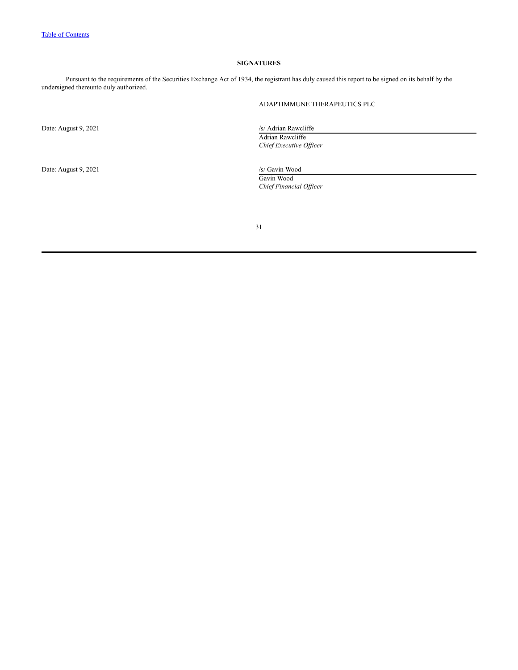## **SIGNATURES**

<span id="page-30-0"></span>Pursuant to the requirements of the Securities Exchange Act of 1934, the registrant has duly caused this report to be signed on its behalf by the undersigned thereunto duly authorized.

## ADAPTIMMUNE THERAPEUTICS PLC

Date: August 9, 2021 /s/ Adrian Rawcliffe

Date: August 9, 2021 /s/ Gavin Wood

Adrian Rawcliffe

*Chief Executive Of icer*

Gavin Wood *Chief Financial Of icer*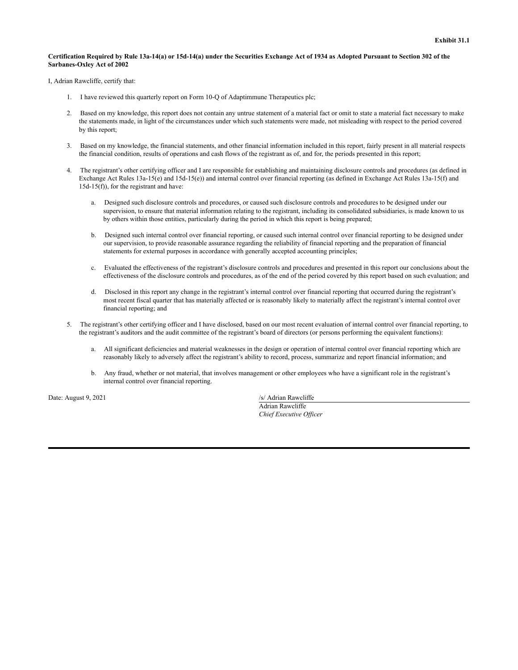#### Certification Required by Rule 13a-14(a) or 15d-14(a) under the Securities Exchange Act of 1934 as Adopted Pursuant to Section 302 of the **Sarbanes-Oxley Act of 2002**

I, Adrian Rawcliffe, certify that:

- 1. I have reviewed this quarterly report on Form 10-Q of Adaptimmune Therapeutics plc;
- 2. Based on my knowledge, this report does not contain any untrue statement of a material fact or omit to state a material fact necessary to make the statements made, in light of the circumstances under which such statements were made, not misleading with respect to the period covered by this report;
- 3. Based on my knowledge, the financial statements, and other financial information included in this report, fairly present in all material respects the financial condition, results of operations and cash flows of the registrant as of, and for, the periods presented in this report;
- 4. The registrant's other certifying officer and I are responsible for establishing and maintaining disclosure controls and procedures (as defined in Exchange Act Rules 13a-15(e) and 15d-15(e)) and internal control over financial reporting (as defined in Exchange Act Rules 13a-15(f) and 15d-15(f)), for the registrant and have:
	- a. Designed such disclosure controls and procedures, or caused such disclosure controls and procedures to be designed under our supervision, to ensure that material information relating to the registrant, including its consolidated subsidiaries, is made known to us by others within those entities, particularly during the period in which this report is being prepared;
	- b. Designed such internal control over financial reporting, or caused such internal control over financial reporting to be designed under our supervision, to provide reasonable assurance regarding the reliability of financial reporting and the preparation of financial statements for external purposes in accordance with generally accepted accounting principles;
	- c. Evaluated the effectiveness of the registrant's disclosure controls and procedures and presented in this report our conclusions about the effectiveness of the disclosure controls and procedures, as of the end of the period covered by this report based on such evaluation; and
	- d. Disclosed in this report any change in the registrant's internal control over financial reporting that occurred during the registrant's most recent fiscal quarter that has materially affected or is reasonably likely to materially affect the registrant's internal control over financial reporting; and
- 5. The registrant's other certifying officer and I have disclosed, based on our most recent evaluation of internal control over financial reporting, to the registrant's auditors and the audit committee of the registrant's board of directors (or persons performing the equivalent functions):
	- a. All significant deficiencies and material weaknesses in the design or operation of internal control over financial reporting which are reasonably likely to adversely affect the registrant's ability to record, process, summarize and report financial information; and
	- b. Any fraud, whether or not material, that involves management or other employees who have a significant role in the registrant's internal control over financial reporting.

Date: August 9, 2021 /s/ Adrian Rawcliffe

Adrian Rawcliffe *Chief Executive Of icer*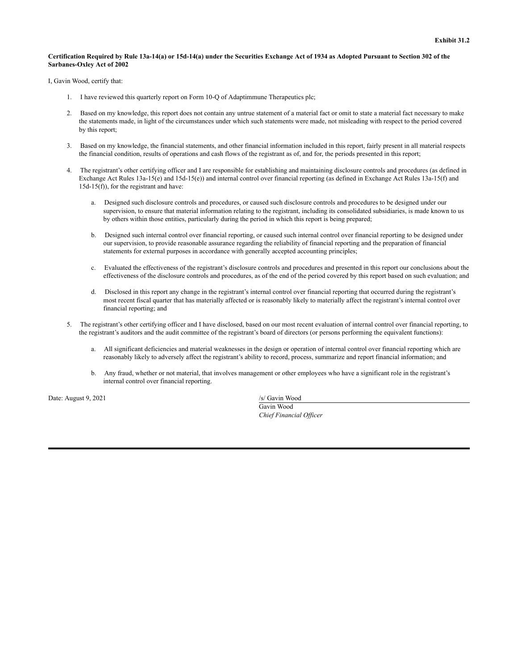#### Certification Required by Rule 13a-14(a) or 15d-14(a) under the Securities Exchange Act of 1934 as Adopted Pursuant to Section 302 of the **Sarbanes-Oxley Act of 2002**

I, Gavin Wood, certify that:

- 1. I have reviewed this quarterly report on Form 10-Q of Adaptimmune Therapeutics plc;
- 2. Based on my knowledge, this report does not contain any untrue statement of a material fact or omit to state a material fact necessary to make the statements made, in light of the circumstances under which such statements were made, not misleading with respect to the period covered by this report;
- 3. Based on my knowledge, the financial statements, and other financial information included in this report, fairly present in all material respects the financial condition, results of operations and cash flows of the registrant as of, and for, the periods presented in this report;
- 4. The registrant's other certifying officer and I are responsible for establishing and maintaining disclosure controls and procedures (as defined in Exchange Act Rules 13a-15(e) and 15d-15(e)) and internal control over financial reporting (as defined in Exchange Act Rules 13a-15(f) and 15d-15(f)), for the registrant and have:
	- a. Designed such disclosure controls and procedures, or caused such disclosure controls and procedures to be designed under our supervision, to ensure that material information relating to the registrant, including its consolidated subsidiaries, is made known to us by others within those entities, particularly during the period in which this report is being prepared;
	- b. Designed such internal control over financial reporting, or caused such internal control over financial reporting to be designed under our supervision, to provide reasonable assurance regarding the reliability of financial reporting and the preparation of financial statements for external purposes in accordance with generally accepted accounting principles;
	- c. Evaluated the effectiveness of the registrant's disclosure controls and procedures and presented in this report our conclusions about the effectiveness of the disclosure controls and procedures, as of the end of the period covered by this report based on such evaluation; and
	- d. Disclosed in this report any change in the registrant's internal control over financial reporting that occurred during the registrant's most recent fiscal quarter that has materially affected or is reasonably likely to materially affect the registrant's internal control over financial reporting; and
- 5. The registrant's other certifying officer and I have disclosed, based on our most recent evaluation of internal control over financial reporting, to the registrant's auditors and the audit committee of the registrant's board of directors (or persons performing the equivalent functions):
	- a. All significant deficiencies and material weaknesses in the design or operation of internal control over financial reporting which are reasonably likely to adversely affect the registrant's ability to record, process, summarize and report financial information; and
	- b. Any fraud, whether or not material, that involves management or other employees who have a significant role in the registrant's internal control over financial reporting.

Date: August 9, 2021 /s/ Gavin Wood

Gavin Wood *Chief Financial Of icer*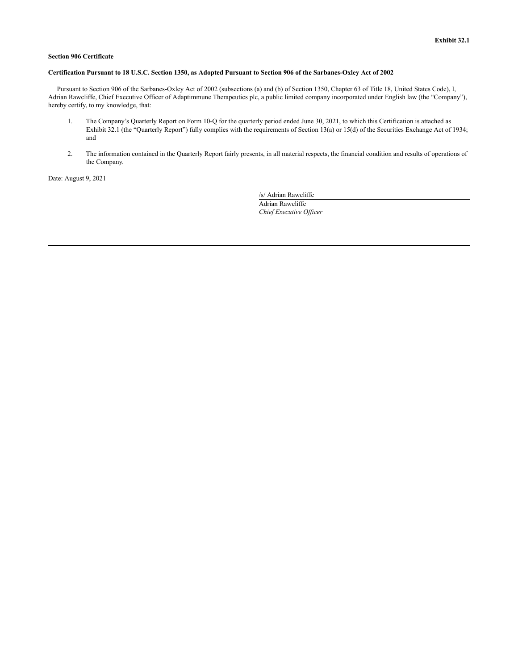### **Section 906 Certificate**

### Certification Pursuant to 18 U.S.C. Section 1350, as Adopted Pursuant to Section 906 of the Sarbanes-Oxley Act of 2002

Pursuant to Section 906 of the Sarbanes-Oxley Act of 2002 (subsections (a) and (b) of Section 1350, Chapter 63 of Title 18, United States Code), I, Adrian Rawcliffe, Chief Executive Officer of Adaptimmune Therapeutics plc, a public limited company incorporated under English law (the "Company"), hereby certify, to my knowledge, that:

- 1. The Company's Quarterly Report on Form 10-Q for the quarterly period ended June 30, 2021, to which this Certification is attached as Exhibit 32.1 (the "Quarterly Report") fully complies with the requirements of Section 13(a) or 15(d) of the Securities Exchange Act of 1934; and
- 2. The information contained in the Quarterly Report fairly presents, in all material respects, the financial condition and results of operations of the Company.

Date: August 9, 2021

/s/ Adrian Rawcliffe Adrian Rawcliffe

*Chief Executive Of icer*